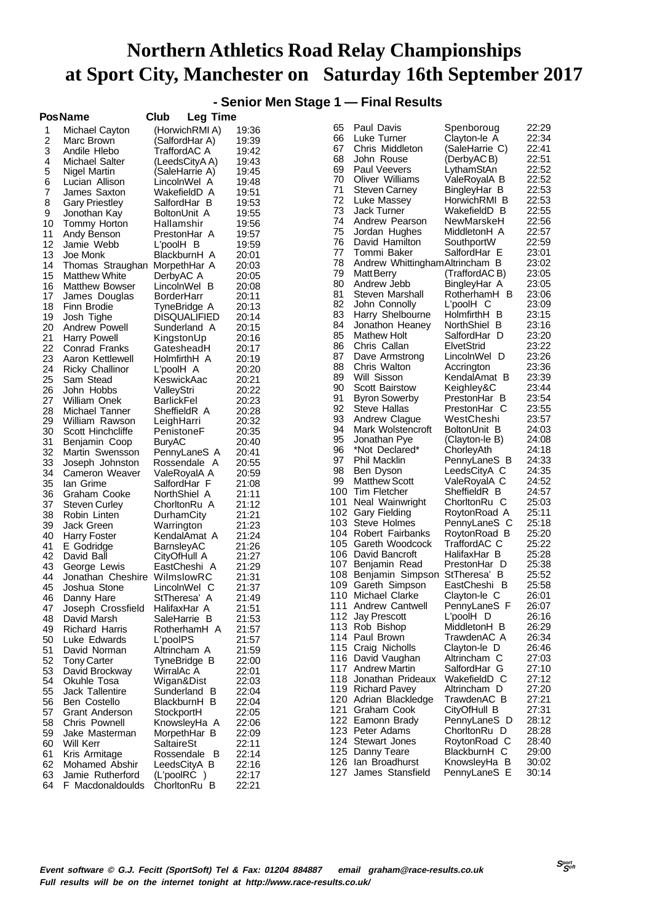**- Senior Men Stage 1 — Final Results**

|          | <b>PosName</b>                   | Club                       | Leg Time                     |                |          |                                        |                              |                |
|----------|----------------------------------|----------------------------|------------------------------|----------------|----------|----------------------------------------|------------------------------|----------------|
| 1        | Michael Cayton                   |                            | (HorwichRMI A)               | 19:36          | 65       | Paul Davis                             | Spenboroug                   | 22:29          |
| 2        | Marc Brown                       |                            | (SalfordHar A)               | 19:39          | 66       | Luke Turner                            | Clayton-le A                 | 22:34          |
| 3        | Andile Hlebo                     | TraffordAC A               |                              | 19:42          | 67       | Chris Middleton                        | (SaleHarrie C)               | 22:41          |
| 4        | Michael Salter                   |                            | (LeedsCityA A)               | 19:43          | 68       | John Rouse                             | (DerbyAC B)                  | 22:51          |
| 5        | Nigel Martin                     |                            | (SaleHarrie A)               | 19:45          | 69       | Paul Veevers                           | LythamStAn                   | 22:52          |
| 6        | Lucian Allison                   |                            | LincolnWel A                 | 19:48          | 70       | Oliver Williams                        | ValeRoyalA B                 | 22:52          |
| 7        | James Saxton                     |                            | WakefieldD A                 | 19:51          | 71       | <b>Steven Carney</b>                   | BingleyHar B                 | 22:53          |
| 8        | <b>Gary Priestley</b>            |                            | SalfordHar B                 | 19:53          | 72       | Luke Massey                            | HorwichRMI B                 | 22:53          |
| 9        | Jonothan Kay                     | BoltonUnit A               |                              | 19:55          | 73       | Jack Turner                            | WakefieldD B                 | 22:55          |
| 10       | Tommy Horton                     | Hallamshir                 |                              | 19:56          | 74       | Andrew Pearson                         | NewMarskeH                   | 22:56          |
| 11       | Andy Benson                      |                            | PrestonHar A                 | 19:57          | 75       | Jordan Hughes                          | MiddletonH A                 | 22:57          |
| 12       | Jamie Webb                       | L'poolH B                  |                              | 19:59          | 76       | David Hamilton                         | SouthportW                   | 22:59          |
| 13       | Joe Monk                         |                            | BlackburnH A                 | 20:01          | 77       | Tommi Baker                            | SalfordHar E                 | 23:01          |
| 14       | Thomas Straughan                 |                            | MorpethHar A                 | 20:03          | 78       | Andrew Whittingham Altrincham B        |                              | 23:02          |
| 15       | <b>Matthew White</b>             | DerbyAC A                  |                              | 20:05          | 79       | <b>Matt Berry</b>                      | (TraffordACB)                | 23:05          |
| 16       | <b>Matthew Bowser</b>            |                            | LincolnWel B                 | 20:08          | 80       | Andrew Jebb                            | BingleyHar A                 | 23:05          |
| 17       | James Douglas                    | <b>BorderHarr</b>          |                              | 20:11          | 81       | Steven Marshall                        | RotherhamH B                 | 23:06          |
| 18       | Finn Brodie                      |                            | TyneBridge A                 | 20:13          | 82<br>83 | John Connolly                          | L'poolH C                    | 23:09          |
| 19       | Josh Tighe                       |                            | <b>DISQUALIFIED</b>          | 20:14          | 84       | Harry Shelbourne                       | HolmfirthH B                 | 23:15<br>23:16 |
| 20       | Andrew Powell                    |                            | Sunderland A                 | 20:15          | 85       | Jonathon Heaney<br>Mathew Holt         | NorthShiel B<br>SalfordHar D | 23:20          |
| 21       | Harry Powell                     | KingstonUp                 |                              | 20:16          | 86       | Chris Callan                           |                              | 23:22          |
| 22       | Conrad Franks                    | GatesheadH                 |                              | 20:17          | 87       |                                        | ElvetStrid                   | 23:26          |
| 23       | Aaron Kettlewell                 | HolmfirthH A               |                              | 20:19          | 88       | Dave Armstrong<br>Chris Walton         | LincolnWel D<br>Accrington   | 23:36          |
| 24       | <b>Ricky Challinor</b>           | L'poolH A                  |                              | 20:20          | 89       | Will Sisson                            | KendalAmat B                 | 23:39          |
| 25       | Sam Stead                        | KeswickAac                 |                              | 20:21          | 90       | <b>Scott Bairstow</b>                  | Keighley&C                   | 23:44          |
| 26       | John Hobbs                       | ValleyStri                 |                              | 20:22          | 91       | <b>Byron Sowerby</b>                   | PrestonHar B                 | 23:54          |
| 27<br>28 | William Onek                     | BarlickFel<br>SheffieldR A |                              | 20:23<br>20:28 | 92       | Steve Hallas                           | PrestonHar C                 | 23:55          |
| 29       | Michael Tanner<br>William Rawson |                            |                              | 20:32          | 93       | Andrew Clague                          | WestCheshi                   | 23:57          |
| 30       | Scott Hinchcliffe                | LeighHarri<br>PenistoneF   |                              | 20:35          | 94       | Mark Wolstencroft                      | BoltonUnit B                 | 24:03          |
| 31       | Benjamin Coop                    | <b>BuryAC</b>              |                              | 20:40          | 95       | Jonathan Pye                           | (Clayton-le B)               | 24:08          |
| 32       | Martin Swensson                  |                            | PennyLaneS A                 | 20:41          | 96       | *Not Declared*                         | ChorleyAth                   | 24:18          |
| 33       | Joseph Johnston                  |                            | Rossendale A                 | 20:55          | 97       | Phil Macklin                           | PennyLaneS B                 | 24:33          |
| 34       | Cameron Weaver                   |                            | ValeRoyalA A                 | 20:59          | 98       | Ben Dyson                              | LeedsCityA C                 | 24:35          |
| 35       | lan Grime                        |                            | SalfordHar F                 | 21:08          | 99       | <b>Matthew Scott</b>                   | ValeRoyalA C                 | 24:52          |
| 36       | Graham Cooke                     | NorthShiel A               |                              | 21:11          | 100      | Tim Fletcher                           | SheffieldR B                 | 24:57          |
| 37       | <b>Steven Curley</b>             |                            | ChorltonRu A                 | 21:12          | 101      | Neal Wainwright                        | ChorltonRu C                 | 25:03          |
| 38       | Robin Linten                     | DurhamCity                 |                              | 21:21          | 102      | <b>Gary Fielding</b>                   | RoytonRoad A                 | 25:11          |
| 39       | Jack Green                       | Warrington                 |                              | 21:23          |          | 103 Steve Holmes                       | PennyLaneS C                 | 25:18          |
| 40       | Harry Foster                     |                            | KendalAmat A                 | 21:24          |          | 104 Robert Fairbanks                   | RoytonRoad B                 | 25:20          |
| 41       | E Godridge                       | BarnsleyAC                 |                              | 21:26          |          | 105 Gareth Woodcock                    | TraffordAC C                 | 25:22          |
| 42       | David Ball                       | CityOfHull A               |                              | 21:27          |          | 106 David Bancroft                     | HalifaxHar B                 | 25:28          |
| 43       | George Lewis                     |                            | EastCheshi A                 | 21:29          | 107      | Benjamin Read                          | PrestonHar D                 | 25:38          |
| 44       | Jonathan Cheshire                | WilmslowRC                 |                              | 21:31          | 108      | Benjamin Simpson StTheresa' B          |                              | 25:52          |
| 45       | Joshua Stone                     |                            | LincolnWel C                 | 21:37          | 109.     | Gareth Simpson                         | EastCheshi B                 | 25:58          |
| 46       | Danny Hare                       |                            | StTheresa' A                 | 21:49          |          | 110 Michael Clarke                     | Clayton-le C                 | 26:01          |
| 47       | Joseph Crossfield                | HalifaxHar A               |                              | 21:51          |          | 111 Andrew Cantwell                    | PennyLaneS F                 | 26:07          |
| 48       | David Marsh                      |                            | SaleHarrie B                 | 21:53          |          | 112 Jay Prescott                       | L'poolH D                    | 26:16          |
| 49       | <b>Richard Harris</b>            |                            | RotherhamH A                 | 21:57          |          | 113 Rob Bishop                         | MiddletonH B                 | 26:29          |
| 50       | Luke Edwards                     | L'poolPS                   |                              | 21:57          |          | 114 Paul Brown                         | TrawdenAC A                  | 26:34          |
| 51       | David Norman                     | Altrincham A               |                              | 21:59          |          | 115 Craig Nicholls                     | Clayton-le D<br>Altrincham C | 26:46          |
| 52       | <b>Tony Carter</b>               |                            | TyneBridge B                 | 22:00          |          | 116 David Vaughan<br>117 Andrew Martin |                              | 27:03<br>27:10 |
| 53       | David Brockway                   | WirralAc A                 |                              | 22:01          |          | 118 Jonathan Prideaux                  | SalfordHar G<br>WakefieldD C | 27:12          |
| 54       | Okuhle Tosa                      | Wigan&Dist                 |                              | 22:03          |          | 119 Richard Pavey                      | Altrincham D                 | 27:20          |
| 55       | Jack Tallentire                  |                            | Sunderland B                 | 22:04          |          | 120 Adrian Blackledge                  | TrawdenAC B                  | 27:21          |
| 56       | Ben Costello                     |                            | BlackburnH B                 | 22:04          |          | 121 Graham Cook                        | CityOfHull B                 | 27:31          |
| 57       | Grant Anderson                   | StockportH                 |                              | 22:05          |          | 122 Eamonn Brady                       | PennyLaneS D                 | 28:12          |
| 58       | Chris Pownell                    |                            | KnowsleyHa A                 | 22:06          |          | 123 Peter Adams                        | ChorltonRu D                 | 28:28          |
| 59       | Jake Masterman                   |                            | MorpethHar B                 | 22:09          |          | 124 Stewart Jones                      | RoytonRoad C                 | 28:40          |
| 60       | Will Kerr                        | SaltaireSt                 |                              | 22:11          |          | 125 Danny Teare                        | BlackburnH C                 | 29:00          |
| 61<br>62 | Kris Armitage<br>Mohamed Abshir  |                            | Rossendale B<br>LeedsCityA B | 22:14<br>22:16 |          | 126 Ian Broadhurst                     | KnowsleyHa B                 | 30:02          |
| 63       | Jamie Rutherford                 | (L'poolRC)                 |                              | 22:17          |          | 127 James Stansfield                   | PennyLaneS E                 | 30:14          |
| 64       | F Macdonaldoulds                 |                            | ChorltonRu B                 | 22:21          |          |                                        |                              |                |
|          |                                  |                            |                              |                |          |                                        |                              |                |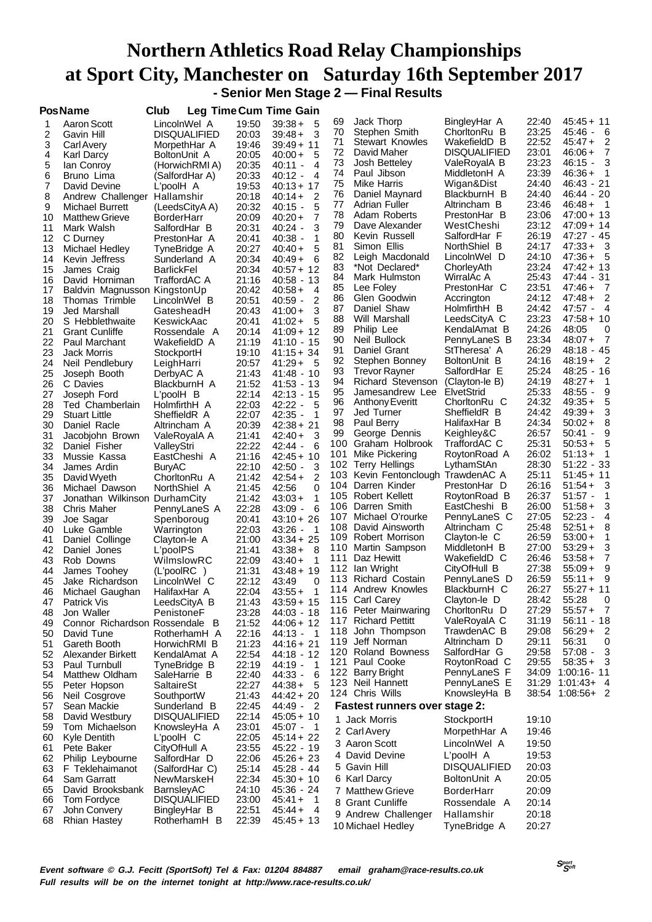#### **Northern Athletics Road Relay Championships at Sport City, Manchester on Saturday 16th September 2017 - Senior Men Stage 2 — Final Results**

**PosName Club Leg TimeCum Time Gain**

|    |                                | -- 9                |       |                                       |      |                                      |                     |       |                                      |
|----|--------------------------------|---------------------|-------|---------------------------------------|------|--------------------------------------|---------------------|-------|--------------------------------------|
| 1  | Aaron Scott                    | LincolnWel A        | 19:50 | $39:38+$<br>5                         | 69   | Jack Thorp                           | BingleyHar A        | 22:40 | 45:45 + 11                           |
| 2  | Gavin Hill                     | <b>DISQUALIFIED</b> | 20:03 | 3<br>$39:48+$                         | 70   | Stephen Smith                        | ChorltonRu B        | 23:25 | 45:46 - 6                            |
| 3  | Carl Avery                     | MorpethHar A        | 19:46 | $39:49 + 11$                          | 71   | Stewart Knowles                      | WakefieldD B        | 22:52 | $\overline{2}$<br>$45:47+$           |
|    |                                |                     |       |                                       | 72   | David Maher                          | <b>DISQUALIFIED</b> | 23:01 | 7<br>$46:06+$                        |
| 4  | Karl Darcy                     | BoltonUnit A        | 20:05 | $40:00+$<br>5                         |      |                                      |                     |       |                                      |
| 5  | lan Conroy                     | (HorwichRMI A)      | 20:35 | $\overline{4}$<br>$40:11 -$           | 73   | Josh Betteley                        | ValeRoyalA B        | 23:23 | $46:15 - 3$                          |
| 6  | Bruno Lima                     | (SalfordHar A)      | 20:33 | 4<br>40:12 -                          | 74   | Paul Jibson                          | MiddletonH A        | 23:39 | $46:36+$<br>$\overline{1}$           |
| 7  | David Devine                   | L'poolH A           | 19:53 | $40:13 + 17$                          | 75   | Mike Harris                          | Wigan&Dist          | 24:40 | 46:43-21                             |
|    |                                |                     |       |                                       | 76   | Daniel Maynard                       | BlackburnH B        | 24:40 | 46:44 - 20                           |
| 8  | Andrew Challenger Hallamshir   |                     | 20:18 | $40:14 +$<br>2                        |      |                                      |                     |       |                                      |
| 9  | Michael Burrett                | (LeedsCityA A)      | 20:32 | 5<br>40:15 -                          | 77   | Adrian Fuller                        | Altrincham B        | 23:46 | $46:48 + 1$                          |
| 10 | <b>Matthew Grieve</b>          | BorderHarr          | 20:09 | $\overline{7}$<br>$40:20 +$           | 78   | Adam Roberts                         | PrestonHar B        | 23:06 | 47:00 + 13                           |
|    |                                |                     |       |                                       | 79   | Dave Alexander                       | WestCheshi          | 23:12 | 47:09+14                             |
| 11 | Mark Walsh                     | SalfordHar B        | 20:31 | 3<br>$40:24 -$                        |      |                                      |                     |       |                                      |
| 12 | C Durney                       | PrestonHar A        | 20:41 | $40:38 -$<br>1                        | 80   | Kevin Russell                        | SalfordHar F        | 26:19 | $47:27 - 45$                         |
| 13 | Michael Hedley                 | TyneBridge A        | 20:27 | $40:40+$<br>5                         | 81   | Simon Ellis                          | NorthShiel B        | 24:17 | $47:33+$<br>- 3                      |
| 14 | Kevin Jeffress                 | Sunderland A        | 20:34 | 6<br>40:49+                           | 82   | Leigh Macdonald                      | LincolnWel D        | 24:10 | $47:36+$<br>- 5                      |
|    |                                |                     |       |                                       | 83   | *Not Declared*                       | ChorleyAth          | 23:24 | $47:42 + 13$                         |
| 15 | James Craig                    | BarlickFel          | 20:34 | $40:57 + 12$                          |      |                                      |                     |       |                                      |
| 16 | David Horniman                 | TraffordAC A        | 21:16 | 40:58 - 13                            | 84   | Mark Hulmston                        | WirralAc A          | 25:43 | 47:44 - 31                           |
| 17 | Baldvin Magnusson KingstonUp   |                     | 20:42 | $40:58+$<br>4                         | 85   | Lee Foley                            | PrestonHar C        | 23:51 | 47:46+<br>$\overline{7}$             |
| 18 | Thomas Trimble                 | LincolnWel B        | 20:51 | 2<br>40:59 -                          | 86   | Glen Goodwin                         | Accrington          | 24:12 | $47:48+$<br>2                        |
|    |                                |                     |       |                                       | 87   | Daniel Shaw                          | HolmfirthH B        | 24:42 | $47:57 -$<br>$\overline{4}$          |
| 19 | Jed Marshall                   | GatesheadH          | 20:43 | 3<br>41:00+                           |      |                                      |                     |       |                                      |
| 20 | S Hebblethwaite                | KeswickAac          | 20:41 | 5<br>$41:02+$                         | 88   | Will Marshall                        | LeedsCityA C        | 23:23 | $47:58 + 10$                         |
| 21 | <b>Grant Cunliffe</b>          | Rossendale A        | 20:14 | 41:09 + 12                            | 89   | Philip Lee                           | KendalAmat B        | 24:26 | 48:05<br>0                           |
| 22 | Paul Marchant                  | WakefieldD A        | 21:19 | 41:10 - 15                            | 90   | Neil Bullock                         | PennyLaneS B        | 23:34 | $48:07+$<br>- 7                      |
|    |                                |                     |       |                                       | 91   | Daniel Grant                         | StTheresa' A        | 26:29 | $48:18 - 45$                         |
| 23 | <b>Jack Morris</b>             | StockportH          | 19:10 | 41:15+34                              |      |                                      |                     |       |                                      |
| 24 | Neil Pendlebury                | LeighHarri          | 20:57 | 41:29+<br>- 5                         | 92   | Stephen Bonney                       | BoltonUnit B        | 24:16 | $48:19+$<br>- 2                      |
| 25 | Joseph Booth                   | DerbyAC A           | 21:43 | $41:48 - 10$                          | 93   | <b>Trevor Rayner</b>                 | SalfordHar E        | 25:24 | 48:25 - 16                           |
| 26 | C Davies                       | BlackburnH A        | 21:52 | $41:53 - 13$                          | 94   | Richard Stevenson                    | (Clayton-le B)      | 24:19 | $48:27+$<br>- 1                      |
|    |                                |                     |       |                                       | 95   | Jamesandrew Lee                      | ElvetStrid          | 25:33 | $48:55 -$<br>9                       |
| 27 | Joseph Ford                    | L'poolH B           | 22:14 | 42:13 - 15                            |      |                                      |                     |       |                                      |
| 28 | Ted Chamberlain                | HolmfirthH A        | 22:03 | 42:22 -<br>5                          | 96   | <b>Anthony Everitt</b>               | ChorltonRu C        | 24:32 | 5<br>$49:35+$                        |
| 29 | <b>Stuart Little</b>           | SheffieldR A        | 22:07 | $42:35 -$<br>1                        | 97   | Jed Turner                           | SheffieldR B        | 24:42 | $49:39+$<br>3                        |
| 30 | Daniel Racle                   | Altrincham A        | 20:39 | $42:38 + 21$                          | 98   | Paul Berry                           | HalifaxHar B        | 24:34 | 8<br>$50:02+$                        |
|    |                                |                     |       |                                       | 99   | George Dennis                        | Keighley&C          | 26:57 | 9<br>50:41 -                         |
| 31 | Jacobjohn Brown                | ValeRoyalA A        | 21:41 | 3<br>$42:40+$                         |      |                                      |                     |       |                                      |
| 32 | Daniel Fisher                  | ValleyStri          | 22:22 | 42:44 -<br>6                          | 100  | Graham Holbrook                      | TraffordAC C        | 25:31 | $50:53+$<br>5                        |
| 33 | Mussie Kassa                   | EastCheshi A        | 21:16 | $42:45+10$                            | 101  | Mike Pickering                       | RoytonRoad A        | 26:02 | $\overline{\phantom{0}}$<br>$51:13+$ |
| 34 | James Ardin                    | <b>BuryAC</b>       | 22:10 | $42:50 -$<br>3                        |      | 102 Terry Hellings                   | LythamStAn          | 28:30 | $51:22 - 33$                         |
|    |                                |                     |       |                                       | 103  | Kevin Fentonclough                   | TrawdenAC A         | 25:11 | $51:45+11$                           |
| 35 | David Wyeth                    | ChorltonRu A        | 21:42 | $\overline{2}$<br>$42:54+$            |      |                                      |                     |       |                                      |
| 36 | Michael Dawson                 | NorthShiel A        | 21:45 | 42:56<br>0                            | 104  | Darren Kinder                        | PrestonHar D        | 26:16 | $51:54+$<br>- 3                      |
| 37 | Jonathan Wilkinson             | DurhamCity          | 21:42 | $43:03+$<br>1                         | 105  | Robert Kellett                       | RoytonRoad B        | 26:37 | $51:57 -$<br>1                       |
| 38 | Chris Maher                    | PennyLaneS A        | 22:28 | 6<br>$43:09 -$                        | 106  | Darren Smith                         | EastCheshi B        | 26:00 | 3<br>$51:58+$                        |
|    |                                |                     |       |                                       | 107. | Michael O'rourke                     | PennyLaneS C        | 27:05 | $52:23 -$<br>4                       |
| 39 | Joe Sagar                      | Spenboroug          | 20:41 | $43:10 + 26$                          |      |                                      |                     | 25:48 | $52:51+$<br>8                        |
| 40 | Luke Gamble                    | Warrington          | 22:03 | 43:26 -<br>1                          | 108  | David Ainsworth                      | Altrincham C        |       |                                      |
| 41 | Daniel Collinge                | Clayton-le A        | 21:00 | $43:34 + 25$                          | 109  | Robert Morrison                      | Clayton-le C        | 26:59 | $53:00+$<br>1                        |
| 42 | Daniel Jones                   | L'poolPS            | 21:41 | 43:38+<br>8                           | 110  | Martin Sampson                       | MiddletonH B        | 27:00 | 3<br>$53:29+$                        |
|    |                                |                     | 22:09 | $43:40+$<br>1                         | 111  | Daz Hewitt                           | WakefieldD C        | 26:46 | $\overline{7}$<br>$53:58+$           |
| 43 | Rob Downs                      | WilmslowRC          |       |                                       |      | lan Wright                           |                     |       | 9                                    |
| 44 | James Toohey                   | (L'poolRC)          | 21:31 | $43:48 + 19$                          | 112  |                                      | CityOfHull B        | 27:38 | $55:09+$                             |
| 45 | Jake Richardson                | LincolnWel C        | 22:12 | 0<br>43:49                            | 113  | <b>Richard Costain</b>               | PennyLaneS D        | 26:59 | - 9<br>$55:11 +$                     |
| 46 | Michael Gaughan                | HalifaxHar A        | 22:04 | $43:55+$<br>1                         |      | 114 Andrew Knowles                   | BlackburnH C        | 26:27 | $55:27 + 11$                         |
| 47 |                                |                     | 21:43 | $43:59 + 15$                          | 115  | <b>Carl Carey</b>                    | Clayton-le D        | 28:42 | 55:28<br>0                           |
|    | Patrick Vis                    | LeedsCityA B        |       |                                       |      | 116 Peter Mainwaring                 | ChorltonRu D        | 27:29 | $55:57+$<br>$\overline{7}$           |
| 48 | Jon Waller                     | PenistoneF          | 23:28 | $44:03 - 18$                          |      |                                      |                     |       |                                      |
| 49 | Connor Richardson Rossendale B |                     | 21:52 | $44:06 + 12$                          | 117  | <b>Richard Pettitt</b>               | ValeRoyalA C        | 31:19 | $56:11 - 18$                         |
| 50 | David Tune                     | RotherhamH A        | 22:16 | $44:13 - 1$                           | 118  | John Thompson                        | TrawdenAC B         | 29:08 | $56:29+2$                            |
| 51 | Gareth Booth                   | HorwichRMI B        | 21:23 | $44:16 + 21$                          | 119  | Jeff Norman                          | Altrincham D        | 29:11 | 56:31<br>0                           |
|    |                                |                     |       |                                       |      | 120 Roland Bowness                   | SalfordHar G        | 29:58 | 3<br>$57:08 -$                       |
| 52 | Alexander Birkett              | KendalAmat A        | 22:54 | 44:18 - 12                            |      |                                      |                     |       |                                      |
| 53 | Paul Turnbull                  | TyneBridge B        | 22:19 | $44:19 -$<br>- 1                      | 121  | Paul Cooke                           | RoytonRoad C        | 29:55 | $58:35+3$                            |
| 54 | Matthew Oldham                 | SaleHarrie B        | 22:40 | 44:33 -<br>6                          |      | 122 Barry Bright                     | PennyLaneS F        | 34:09 | $1:00:16 - 11$                       |
| 55 | Peter Hopson                   | SaltaireSt          | 22:27 | $44:38+$<br>5                         |      | 123 Neil Hannett                     | PennyLaneS E        | 31:29 | $1:01:43+4$                          |
|    |                                |                     |       |                                       |      | 124 Chris Wills                      | KnowsleyHa B        |       | 38:54 1:08:56+ 2                     |
| 56 | Neil Cosgrove                  | SouthportW          | 21:43 | $44:42 + 20$                          |      |                                      |                     |       |                                      |
| 57 | Sean Mackie                    | Sunderland B        | 22:45 | 44:49 -<br>$\overline{\phantom{0}}^2$ |      | <b>Fastest runners over stage 2:</b> |                     |       |                                      |
| 58 | David Westbury                 | <b>DISQUALIFIED</b> | 22:14 | $45:05 + 10$                          |      | 1 Jack Morris                        |                     | 19:10 |                                      |
| 59 | Tom Michaelson                 | KnowsleyHa A        | 23:01 | 45:07 - 1                             |      |                                      | StockportH          |       |                                      |
|    |                                |                     |       | $45:14 + 22$                          |      | 2 Carl Avery                         | MorpethHar A        | 19:46 |                                      |
| 60 | Kyle Dentith                   | L'poolH C           | 22:05 |                                       |      | 3 Aaron Scott                        | LincolnWel A        | 19:50 |                                      |
| 61 | Pete Baker                     | CityOfHull A        | 23:55 | 45:22 - 19                            |      |                                      |                     |       |                                      |
| 62 | Philip Leybourne               | SalfordHar D        | 22:06 | $45:26 + 23$                          |      | 4 David Devine                       | L'poolH A           | 19:53 |                                      |
| 63 | F Teklehaimanot                | (SalfordHar C)      | 25:14 | 45:28 - 44                            |      | 5 Gavin Hill                         | <b>DISQUALIFIED</b> | 20:03 |                                      |
| 64 | Sam Garratt                    | NewMarskeH          | 22:34 | $45:30 + 10$                          |      | 6 Karl Darcy                         | BoltonUnit A        | 20:05 |                                      |
|    |                                |                     |       |                                       |      |                                      |                     |       |                                      |
| 65 | David Brooksbank               | BarnsleyAC          | 24:10 | 45:36 - 24                            |      | 7 Matthew Grieve                     | <b>BorderHarr</b>   | 20:09 |                                      |
| 66 | Tom Fordyce                    | <b>DISQUALIFIED</b> | 23:00 | 45:41 +<br>$\overline{1}$             |      | 8 Grant Cunliffe                     | Rossendale A        | 20:14 |                                      |
| 67 | John Convery                   | BingleyHar B        | 22:51 | 45:44 +<br>- 4                        |      |                                      |                     |       |                                      |
| 68 | Rhian Hastey                   | RotherhamH B        | 22:39 | $45:45 + 13$                          |      | 9 Andrew Challenger                  | Hallamshir          | 20:18 |                                      |
|    |                                |                     |       |                                       |      | 10 Michael Hedley                    | TyneBridge A        | 20:27 |                                      |
|    |                                |                     |       |                                       |      |                                      |                     |       |                                      |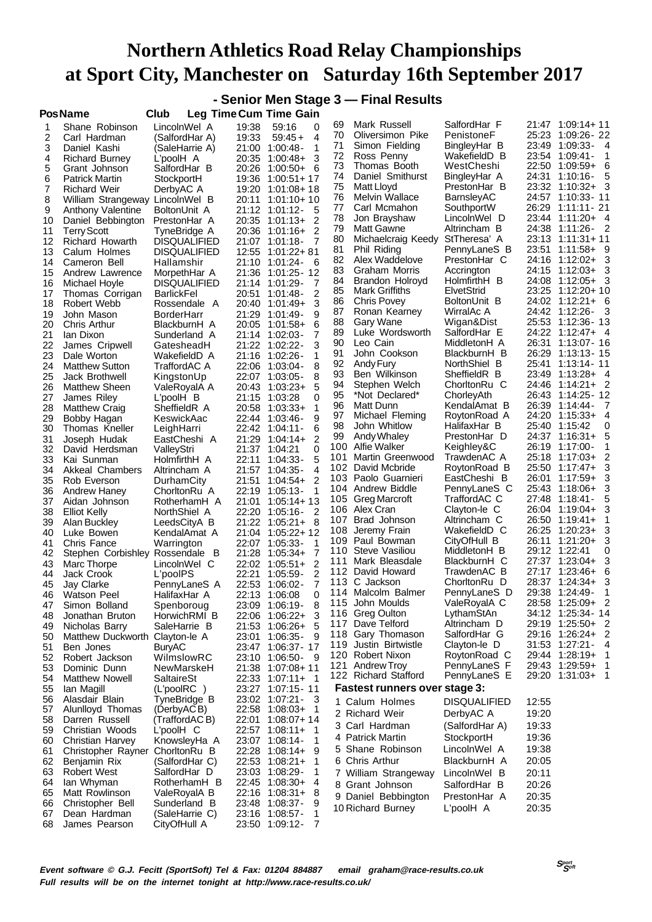|          |                                                |                                            |                |                                                |            | - Senior Men Stage 3 - Final Results          |                              |                |                                             |
|----------|------------------------------------------------|--------------------------------------------|----------------|------------------------------------------------|------------|-----------------------------------------------|------------------------------|----------------|---------------------------------------------|
|          | PosName                                        | Club                                       |                | Leg Time Cum Time Gain                         |            |                                               |                              |                |                                             |
| 1        | Shane Robinson                                 | LincolnWel A                               | 19:38          | 59:16<br>0                                     | 69         | Mark Russell                                  | SalfordHar F                 |                | 21:47 1:09:14+11                            |
| 2        | Carl Hardman                                   | (SalfordHar A)                             | 19:33          | 4<br>$59:45+$                                  | 70<br>71   | Oliversimon Pike<br>Simon Fielding            | PenistoneF<br>BingleyHar B   |                | 25:23 1:09:26 - 22<br>23:49 1:09:33- 4      |
| 3        | Daniel Kashi                                   | (SaleHarrie A)                             | 21:00          | 1<br>1:00:48-                                  | 72         | Ross Penny                                    | WakefieldD B                 |                | 23:54 1:09:41 -<br>1                        |
| 4<br>5   | <b>Richard Burney</b><br>Grant Johnson         | L'poolH A<br>SalfordHar B                  | 20:35<br>20:26 | 3<br>$1:00:48+$<br>$1:00:50+$<br>-6            | 73         | Thomas Booth                                  | WestCheshi                   |                | 22:50 1:09:59+ 6                            |
| 6        | <b>Patrick Martin</b>                          | StockportH                                 | 19:36          | $1:00:51+17$                                   | 74         | Daniel Smithurst                              | BingleyHar A                 | 24:31          | $1:10:16-$<br>5                             |
| 7        | <b>Richard Weir</b>                            | DerbyAC A                                  | 19:20          | 1:01:08+18                                     | 75         | Matt Lloyd                                    | PrestonHar B                 | 23:32          | $1:10:32+3$                                 |
| 8        | William Strangeway LincolnWel B                |                                            | 20:11          | $1:01:10+10$                                   | 76         | Melvin Wallace                                | BarnsleyAC                   | 24:57          | 1:10:33-11                                  |
| 9        | <b>Anthony Valentine</b>                       | BoltonUnit A                               |                | 21:12 1:01:12-<br>5                            | 77         | Carl Mcmahon                                  | SouthportW                   | 26:29          | 1:11:11 - 21                                |
| 10       | Daniel Bebbington                              | PrestonHar A                               | 20:35          | 2<br>1:01:13+                                  | 78         | Jon Brayshaw                                  | LincolnWel D<br>Altrincham B |                | 23:44 1:11:20+ 4<br>1:11:26-2               |
| 11       | <b>Terry Scott</b>                             | TyneBridge A                               |                | $\overline{2}$<br>$20:36$ 1:01:16+             | 79<br>80   | Matt Gawne<br>Michaelcraig Keedy StTheresa' A |                              | 24:38          | 23:13 1:11:31+11                            |
| 12<br>13 | Richard Howarth<br>Calum Holmes                | <b>DISQUALIFIED</b><br><b>DISQUALIFIED</b> | 21:07<br>12:55 | $1:01:18-$<br>-7<br>$1:01:22+81$               | 81         | Phil Riding                                   | PennyLaneS B                 | 23:51          | 1:11:58+ 9                                  |
| 14       | Cameron Bell                                   | Hallamshir                                 |                | 21:10 1:01:24-<br>- 6                          | 82         | Alex Waddelove                                | PrestonHar C                 | 24:16          | 3<br>1:12:02+                               |
| 15       | Andrew Lawrence                                | MorpethHar A                               | 21:36          | 1:01:25 - 12                                   | 83         | Graham Morris                                 | Accrington                   |                | 24:15 1:12:03+<br>3                         |
| 16       | Michael Hoyle                                  | <b>DISQUALIFIED</b>                        |                | 21:14 1:01:29-<br>7                            | 84         | Brandon Holroyd                               | HolmfirthH B                 | 24:08          | 3<br>1:12:05+                               |
| 17       | Thomas Corrigan                                | <b>BarlickFel</b>                          | 20:51          | 2<br>1:01:48-                                  | 85         | Mark Griffiths                                | ElvetStrid                   |                | 23:25 1:12:20+10                            |
| 18       | Robert Webb                                    | Rossendale A                               | 20:40          | 3<br>1:01:49+                                  | 86<br>87   | <b>Chris Povey</b><br>Ronan Kearney           | BoltonUnit B<br>WirralAc A   | 24:42          | 24:02 1:12:21+<br>6<br>3<br>1:12:26-        |
| 19<br>20 | John Mason                                     | BorderHarr                                 | 21:29<br>20:05 | 1:01:49-<br>9<br>6                             | 88         | Gary Wane                                     | Wigan&Dist                   | 25:53          | 1:12:36-13                                  |
| 21       | Chris Arthur<br>lan Dixon                      | BlackburnH A<br>Sunderland A               |                | 1:01:58+<br>7<br>21:14 1:02:03-                | 89         | Luke Wordsworth                               | SalfordHar E                 |                | 24:22 1:12:47+ 4                            |
| 22       | James Cripwell                                 | GatesheadH                                 |                | 3<br>21:22 1:02:22-                            | 90         | Leo Cain                                      | MiddletonH A                 | 26:31          | 1:13:07 - 16                                |
| 23       | Dale Worton                                    | WakefieldD A                               |                | 21:16 1:02:26-<br>1                            | 91         | John Cookson                                  | BlackburnH B                 |                | 26:29 1:13:13-15                            |
| 24       | <b>Matthew Sutton</b>                          | <b>TraffordAC A</b>                        | 22:06          | 1:03:04 -<br>8                                 | 92         | Andy Fury                                     | NorthShiel B                 | 25:41          | 1:13:14 - 11                                |
| 25       | Jack Brothwell                                 | KingstonUp                                 | 22:07          | 1:03:05-<br>8                                  | 93         | Ben Wilkinson                                 | SheffieldR B                 | 23:49          | 1:13:28+ 4                                  |
| 26       | Matthew Sheen                                  | ValeRoyalA A                               | 20:43          | 5<br>1:03:23+                                  | 94<br>95   | Stephen Welch<br>*Not Declared*               | ChorltonRu C<br>ChorleyAth   | 24:46          | 2<br>1:14:21+                               |
| 27<br>28 | James Riley                                    | $L'$ pool $H$ B<br>SheffieldR A            | 21:15<br>20:58 | 1:03:28<br>0<br>1<br>$1:03:33+$                | 96         | Matt Dunn                                     | KendalAmat B                 |                | 26:39 1:14:44-<br>7                         |
| 29       | <b>Matthew Craig</b><br>Bobby Hagan            | KeswickAac                                 | 22:44          | 9<br>1:03:46-                                  | 97         | Michael Fleming                               | RoytonRoad A                 |                | 24:20 1:15:33+<br>4                         |
| 30       | Thomas Kneller                                 | LeighHarri                                 | 22:42          | 6<br>1:04:11 -                                 | 98         | John Whitlow                                  | HalifaxHar B                 | 25:40 1:15:42  | 0                                           |
| 31       | Joseph Hudak                                   | EastCheshi A                               | 21:29          | 2<br>1:04:14+                                  | 99         | Andy Whaley                                   | PrestonHar D                 |                | 24:37 1:16:31+<br>5                         |
| 32       | David Herdsman                                 | ValleyStri                                 |                | 21:37 1:04:21<br>0                             |            | 100 Alfie Walker                              | Keighley&C                   |                | 26:19 1:17:00-                              |
| 33       | Kai Sunman                                     | HolmfirthH A                               | 22:11          | 5<br>1:04:33-                                  | 101        | Martin Greenwood<br>102 David Mcbride         | TrawdenAC A<br>RoytonRoad B  | 25:50          | 25:18 1:17:03+<br>2<br>$1:17:47+$<br>3      |
| 34       | Akkeal Chambers                                | Altrincham A                               | 21:57          | $\overline{4}$<br>$1:04:35-$<br>$\overline{2}$ | 103        | Paolo Guarnieri                               | EastCheshi B                 | 26:01          | $1:17:59+$<br>3                             |
| 35<br>36 | Rob Everson<br>Andrew Haney                    | DurhamCity<br>ChorltonRu A                 | 21:51<br>22:19 | $1:04:54+$<br>$1:05:13-$<br>1                  |            | 104 Andrew Biddle                             | PennyLaneS C                 | 25:43          | $1:18:06+$<br>3                             |
| 37       | Aidan Johnson                                  | RotherhamH A                               | 21:01          | $1:05:14+13$                                   | 105        | Greg Marcroft                                 | TraffordAC C                 | 27:48          | 1:18:41 -<br>5                              |
| 38       | <b>Elliot Kelly</b>                            | NorthShiel A                               | 22:20          | 2<br>1:05:16-                                  |            | 106 Alex Cran                                 | Clayton-le C                 | 26:04          | 3<br>$1:19:04+$                             |
| 39       | Alan Buckley                                   | LeedsCityA B                               | 21:22          | $1:05:21+$<br>- 8                              | 107        | Brad Johnson                                  | Altrincham C                 |                | 26:50 1:19:41+<br>1                         |
| 40       | Luke Bowen                                     | KendalAmat A                               | 21:04          | $1:05:22+12$                                   | 108<br>109 | Jeremy Frain                                  | WakefieldD C                 | 26:25<br>26:11 | 3<br>1:20:23+                               |
| 41       | Chris Fance                                    | Warrington                                 |                | 22:07 1:05:33-<br>1                            | 110        | Paul Bowman<br>Steve Vasiliou                 | CityOfHull B<br>MiddletonH B | 29:12 1:22:41  | $1:21:20+$<br>3<br>0                        |
| 42<br>43 | Stephen Corbishley Rossendale B<br>Marc Thorpe | LincolnWel C                               | 21:28<br>22:02 | $1:05:34+$<br>7<br>2<br>$1:05:51+$             | 111        | Mark Bleasdale                                | BlackburnH C                 | 27:37          | $1:23:04+$<br>3                             |
| 44       | Jack Crook                                     | L'poolPS                                   | 22:21          | 2<br>$1:05:59-$                                |            | 112 David Howard                              | TrawdenAC B                  |                | 27:17 1:23:46+<br>6                         |
| 45       | Jay Clarke                                     | PennyLaneS A                               | 22:53          | 1:06:02-                                       |            | 113 C Jackson                                 | ChorltonRu D                 |                | 28:37 1:24:34+ 3                            |
| 46       | <b>Watson Peel</b>                             | HalifaxHar A                               |                | 0<br>22:13 1:06:08                             |            | 114 Malcolm Balmer                            | PennyLaneS D                 |                | 29:38 1:24:49-<br>1                         |
| 47       | Simon Bolland                                  | Spenboroug                                 |                | 23:09 1:06:19-<br>8                            | 115        | John Moulds                                   | ValeRoyalA C                 | 28:58          | 1:25:09+ 2                                  |
| 48       | Jonathan Bruton                                | HorwichRMI B                               | 22:06          | 3<br>1:06:22+                                  | 117        | 116 Greg Oulton<br>Dave Telford               | LythamStAn<br>Altrincham D   |                | 34:12 1:25:34 - 14<br>29:19 1:25:50+<br>- 2 |
| 49       | Nicholas Barry                                 | SaleHarrie B                               | 21:53          | 5<br>1:06:26+<br>23:01 1:06:35-<br>9           |            | 118 Gary Thomason                             | SalfordHar G                 |                | 29:16 1:26:24+ 2                            |
| 50<br>51 | Matthew Duckworth Clayton-le A<br>Ben Jones    | <b>BuryAC</b>                              |                | 23:47 1:06:37 - 17                             |            | 119 Justin Birtwistle                         | Clayton-le D                 |                | $31:53$ $1:27:21$<br>4                      |
| 52       | Robert Jackson                                 | WilmslowRC                                 |                | 23:10 1:06:50-<br>- 9                          |            | 120 Robert Nixon                              | RoytonRoad C                 |                | 29:44 1:28:19+                              |
| 53       | Dominic Dunn                                   | NewMarskeH                                 |                | 21:38 1:07:08+11                               |            | 121 Andrew Troy                               | PennyLaneS F                 |                | 29:43 1:29:59+<br>1                         |
| 54       | <b>Matthew Nowell</b>                          | SaltaireSt                                 |                | 22:33 1:07:11+ 1                               |            | 122 Richard Stafford                          | PennyLaneS E                 |                | 29:20 1:31:03+<br>1                         |
| 55       | lan Magill                                     | (L'poolRC)                                 |                | 23:27 1:07:15 - 11                             |            | <b>Fastest runners over stage 3:</b>          |                              |                |                                             |
| 56       | Alasdair Blain                                 | TyneBridge B                               | 23:02          | 1:07:21-<br>3                                  |            | 1 Calum Holmes                                | <b>DISQUALIFIED</b>          | 12:55          |                                             |
| 57<br>58 | Alunlloyd Thomas<br>Darren Russell             | (DerbyACB)<br>(TraffordACB)                |                | 22:58 1:08:03+<br>-1<br>22:01 1:08:07+14       |            | 2 Richard Weir                                | DerbyAC A                    | 19:20          |                                             |
| 59       | Christian Woods                                | L'poolH C                                  |                | 22:57 1:08:11+<br>1                            |            | 3 Carl Hardman                                | (SalfordHar A)               | 19:33          |                                             |
| 60       | Christian Harvey                               | KnowsleyHa A                               |                | 23:07 1:08:14-<br>1                            |            | 4 Patrick Martin                              | StockportH                   | 19:36          |                                             |
| 61       | Christopher Rayner                             | ChorltonRu B                               | 22:28          | $1:08:14+$<br>9                                |            | 5 Shane Robinson                              | LincolnWel A                 | 19:38          |                                             |
| 62       | Benjamin Rix                                   | (SalfordHar C)                             | 22:53          | 1:08:21+<br>1                                  |            | 6 Chris Arthur                                | BlackburnH A                 | 20:05          |                                             |
| 63       | <b>Robert West</b>                             | SalfordHar D                               | 23:03          | 1:08:29-<br>1                                  |            | 7 William Strangeway                          | LincolnWel B                 | 20:11          |                                             |
| 64       | lan Whyman<br>Matt Rowlinson                   | RotherhamH B<br>ValeRoyalA B               |                | 22:45 1:08:30+<br>4<br>22:16 1:08:31+          |            | 8 Grant Johnson                               | SalfordHar B                 | 20:26          |                                             |
| 65<br>66 | Christopher Bell                               | Sunderland B                               |                | 8<br>23:48 1:08:37-<br>9                       |            | 9 Daniel Bebbington                           | PrestonHar A                 | 20:35          |                                             |
| 67       | Dean Hardman                                   | (SaleHarrie C)                             |                | 23:16 1:08:57-<br>1                            |            | 10 Richard Burney                             | L'poolH A                    | 20:35          |                                             |
| 68       | James Pearson                                  | CityOfHull A                               |                | 23:50 1:09:12-<br>$\overline{7}$               |            |                                               |                              |                |                                             |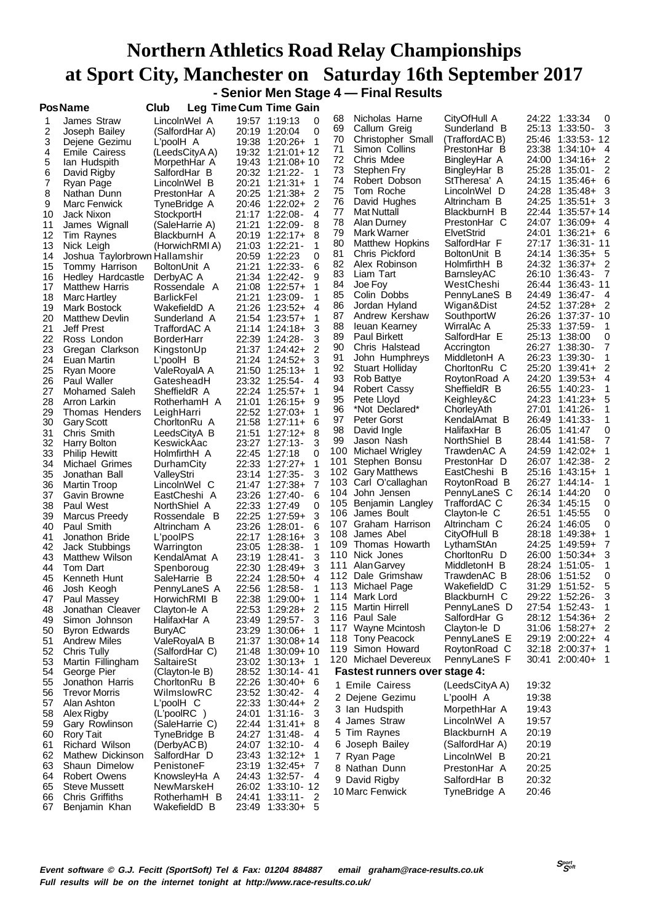### **Northern Athletics Road Relay Championships at Sport City, Manchester on Saturday 16th September 2017 - Senior Men Stage 4 — Final Results**

| <b>PosName</b> |
|----------------|
|----------------|

**PosName Club Leg TimeCum Time Gain**

| ט ו      |                               | ∟⊍ษ               |       | u uu                                  |      |                                      |                |       |                                  |   |
|----------|-------------------------------|-------------------|-------|---------------------------------------|------|--------------------------------------|----------------|-------|----------------------------------|---|
| 1        | James Straw                   | LincolnWel A      |       | 19:57 1:19:13<br>0                    | 68   | Nicholas Harne                       | CityOfHull A   |       | 24:22 1:33:34                    | 0 |
| 2        | Joseph Bailey                 | (SalfordHar A)    |       | 0<br>20:19 1:20:04                    | 69   | Callum Greig                         | Sunderland B   | 25:13 | $1:33:50-$<br>$_{3}$             |   |
| 3        | Dejene Gezimu                 | L'poolH A         | 19:38 | $1:20:26+$<br>$\mathbf 1$             | 70   | Christopher Small                    | (TraffordACB)  | 25:46 | 1:33:53- 12                      |   |
| 4        | <b>Emile Cairess</b>          | (LeedsCityA A)    |       | 19:32 1:21:01+12                      | 71   | Simon Collins                        | PrestonHar B   | 23:38 | $1:34:10+$<br>- 4                |   |
| 5        | lan Hudspith                  | MorpethHar A      | 19:43 | 1:21:08+10                            | 72   | Chris Mdee                           | BingleyHar A   | 24:00 | $1:34:16+$                       | 2 |
| 6        | David Rigby                   | SalfordHar B      | 20:32 | 1:21:22-<br>$\overline{1}$            | 73   | Stephen Fry                          | BingleyHar B   | 25:28 | $1:35:01-$                       | 2 |
| 7        | Ryan Page                     | LincolnWel B      | 20:21 | 1<br>$1:21:31+$                       | 74   | Robert Dobson                        | StTheresa' A   | 24:15 | $1:35:46+$<br>-6                 |   |
| 8        | Nathan Dunn                   | PrestonHar A      | 20:25 | $1:21:38+$<br>2                       | 75   | Tom Roche                            | LincolnWel D   | 24:28 | $1:35:48+$                       | 3 |
| 9        | Marc Fenwick                  | TyneBridge A      |       | $\overline{2}$<br>20:46 1:22:02+      | 76   | David Hughes                         | Altrincham B   | 24:25 | $1:35:51+$<br>- 3                |   |
| 10       | Jack Nixon                    | StockportH        |       | 21:17 1:22:08-<br>4                   | 77   | Mat Nuttall                          | BlackburnH B   | 22:44 | 1:35:57+14                       |   |
| 11       | James Wignall                 | (SaleHarrie A)    | 21:21 | $1:22:09-$<br>8                       | 78   | Alan Durney                          | PrestonHar C   | 24:07 | $1:36:09+$ 4                     |   |
| 12       | Tim Raynes                    | BlackburnH A      |       | 20:19 1:22:17+<br>8                   | 79   | Mark Warner                          | ElvetStrid     | 24:01 | $1:36:21+6$                      |   |
| 13       | Nick Leigh                    | (HorwichRMI A)    | 21:03 | 1:22:21 -<br>1                        | 80   | <b>Matthew Hopkins</b>               | SalfordHar F   |       | 27:17 1:36:31 - 11               |   |
| 14       | Joshua Taylorbrown Hallamshir |                   |       | 20:59 1:22:23<br>0                    | 81   | Chris Pickford                       | BoltonUnit B   | 24:14 | $1:36:35+5$                      |   |
| 15       | Tommy Harrison                | BoltonUnit A      | 21:21 | 6<br>$1:22:33-$                       | 82   | Alex Robinson                        | HolmfirthH B   | 24:32 | $1:36:37+$<br>- 2                |   |
| 16       | Hedley Hardcastle             | DerbyAC A         |       | 21:34 1:22:42-<br>9                   | 83   | Liam Tart                            | BarnsleyAC     | 26:10 | 1:36:43-<br>- 7                  |   |
| 17       | <b>Matthew Harris</b>         | Rossendale A      | 21:08 | $1:22:57+$<br>1                       | 84   | Joe Foy                              | WestCheshi     | 26:44 | 1:36:43-11                       |   |
| 18       | Marc Hartley                  | <b>BarlickFel</b> | 21:21 | $1:23:09-$<br>1                       | 85   | Colin Dobbs                          | PennyLaneS B   | 24:49 | 1:36:47- 4                       |   |
| 19       | Mark Bostock                  | WakefieldD A      |       | $\boldsymbol{4}$<br>21:26 1:23:52+    | 86   | Jordan Hyland                        | Wigan&Dist     | 24:52 | $1:37:28+2$                      |   |
| 20       | <b>Matthew Devlin</b>         | Sunderland A      | 21:54 | $1:23:57+$<br>1                       | 87   | Andrew Kershaw                       | SouthportW     | 26:26 | 1:37:37 - 10                     |   |
| 21       | <b>Jeff Prest</b>             | TraffordAC A      |       | 21:14 1:24:18+<br>3                   | 88   | leuan Kearney                        | WirralAc A     | 25:33 | $1:37:59-$                       | 1 |
| 22       | Ross London                   | <b>BorderHarr</b> |       | 22:39 1:24:28-<br>3                   | 89   | Paul Birkett                         | SalfordHar E   | 25:13 | 1:38:00                          | 0 |
| 23       | Gregan Clarkson               | KingstonUp        |       | 21:37 1:24:42+<br>2                   | 90   | Chris Halstead                       | Accrington     | 26:27 | 1:38:30-                         | 7 |
| 24       | Euan Martin                   | L'poolH B         |       | 21:24 1:24:52+<br>3                   | 91   | John Humphreys                       | MiddletonH A   | 26:23 | $1:39:30-$                       | 1 |
| 25       | Ryan Moore                    | ValeRoyalA A      | 21:50 | $1:25:13+$<br>1                       | 92   | Stuart Holliday                      | ChorltonRu C   | 25:20 | $1:39:41+$                       | 2 |
| 26       | Paul Waller                   | GatesheadH        |       | 4<br>23:32 1:25:54 -                  | 93   | Rob Battye                           | RoytonRoad A   | 24:20 | $1:39:53+$                       | 4 |
| 27       | Mohamed Saleh                 | SheffieldR A      |       | 22:24 1:25:57+<br>1                   | 94   | Robert Cassy                         | SheffieldR B   | 26:55 | $1:40:23-$                       | 1 |
| 28       | Arron Larkin                  | RotherhamH A      |       | 21:01 1:26:15+<br>9                   | 95   | Pete Lloyd                           | Keighley&C     | 24:23 | $1:41:23+$                       | 5 |
| 29       | Thomas Henders                | LeighHarri        |       | 22:52 1:27:03+<br>1                   | 96   | *Not Declared*                       | ChorleyAth     | 27:01 | $1:41:26-$                       | 1 |
| 30       | <b>Gary Scott</b>             | ChorltonRu A      |       | 21:58 1:27:11+<br>6                   | 97   | Peter Gorst                          | KendalAmat B   | 26:49 | $1:41:33-$                       |   |
| 31       | Chris Smith                   | LeedsCityA B      |       | 8<br>21:51 1:27:12+                   | 98   | David Ingle                          | HalifaxHar B   | 26:05 | 1:41:47                          | 0 |
| 32       | Harry Bolton                  | KeswickAac        |       | 23:27 1:27:13-<br>3                   | 99   | Jason Nash                           | NorthShiel B   |       | 28:44 1:41:58-                   | 7 |
| 33       | <b>Philip Hewitt</b>          | HolmfirthH A      |       | 22:45 1:27:18<br>0                    | 100  | Michael Wrigley                      | TrawdenAC A    | 24:59 | $1:42:02+$                       |   |
| 34       | Michael Grimes                | DurhamCity        |       | 1<br>22:33 1:27:27+                   | 101  | Stephen Bonsu                        | PrestonHar D   | 26:07 | $1:42:38-$                       | 2 |
| 35       | Jonathan Ball                 | ValleyStri        |       | 23:14 1:27:35-<br>3                   |      | 102 Gary Matthews                    | EastCheshi B   | 25:16 | $1:43:15+$                       |   |
| 36       | Martin Troop                  | LincolnWel C      |       | 21:47 1:27:38+<br>7                   | 103. | Carl O'callaghan                     | RoytonRoad B   | 26:27 | 1:44:14 -                        | 1 |
| 37       | Gavin Browne                  | EastCheshi A      | 23:26 | 6<br>1:27:40-                         | 104  | John Jensen                          | PennyLaneS C   |       | 26:14 1:44:20                    | 0 |
| 38       | Paul West                     | NorthShiel A      |       | 22:33 1:27:49<br>0                    | 105  | Benjamin Langley                     | TraffordAC C   |       | 26:34 1:45:15                    | 0 |
| 39       | <b>Marcus Preedy</b>          | Rossendale B      | 22:25 | 3<br>1:27:59+                         | 106  | James Boult                          | Clayton-le C   | 26:51 | 1:45:55                          | 0 |
| 40       | Paul Smith                    | Altrincham A      |       | 23:26 1:28:01-<br>6                   | 107  | Graham Harrison                      | Altrincham C   | 26:24 | 1:46:05                          | 0 |
| 41       | Jonathon Bride                | L'poolPS          |       | 22:17 1:28:16+<br>3                   | 108  | James Abel                           | CityOfHull B   | 28:18 | $1:49:38+$                       | 1 |
| 42       | Jack Stubbings                |                   |       | 23:05 1:28:38-<br>1                   | 109  | Thomas Howarth                       | LythamStAn     | 24:25 | 1:49:59+                         |   |
|          |                               | Warrington        |       | 3                                     | 110  | Nick Jones                           | ChorltonRu D   | 26:00 | $1:50:34+$                       | 3 |
| 43<br>44 | Matthew Wilson                | KendalAmat A      |       | 23:19 1:28:41-<br>22:30 1:28:49+<br>3 | 111  | Alan Garvey                          | MiddletonH B   |       | 28:24 1:51:05-                   | 1 |
|          | Tom Dart<br>Kenneth Hunt      | Spenboroug        |       | 22:24 1:28:50+<br>$\boldsymbol{4}$    | 112  | Dale Grimshaw                        | TrawdenAC B    | 28:06 | 1:51:52                          | 0 |
| 45       |                               | SaleHarrie B      |       | 22:56 1:28:58-<br>1                   | 113  | Michael Page                         | WakefieldD C   | 31:29 | $1:51:52-$                       | 5 |
| 46       | Josh Keogh                    | PennyLaneS A      |       | 22:38 1:29:00+<br>1                   |      | 114 Mark Lord                        | BlackburnH C   |       | 29:22 1:52:26-                   | 3 |
| 47       | Paul Massey                   | HorwichRMI B      |       | $\overline{2}$                        |      | 115 Martin Hirrell                   | PennyLaneS D   |       | 27:54 1:52:43-<br>$\overline{1}$ |   |
| 48       | Jonathan Cleaver              | Clayton-le A      |       | 22:53 1:29:28+                        |      | 116 Paul Sale                        | SalfordHar G   |       | 28:12 1:54:36+ 2                 |   |
| 49       | Simon Johnson                 | HalifaxHar A      |       | 3<br>23:49 1:29:57-                   |      | 117 Wayne Mcintosh                   | Clayton-le D   | 31:06 | $1:58:27+2$                      |   |
| 50       | <b>Byron Edwards</b>          | <b>BuryAC</b>     |       | 23:29 1:30:06+<br>-1                  |      | 118 Tony Peacock                     | PennyLaneS E   |       | 29:19 2:00:22+ 4                 |   |
| 51       | <b>Andrew Miles</b>           | ValeRoyalA B      |       | 21:37 1:30:08+14                      |      | 119 Simon Howard                     | RoytonRoad C   |       | 32:18 2:00:37+<br>-1             |   |
| 52       | Chris Tully                   | (SalfordHar C)    |       | 21:48 1:30:09+10                      |      | 120 Michael Devereux                 | PennyLaneS F   |       | 30:41 2:00:40+ 1                 |   |
| 53       | Martin Fillingham             | SaltaireSt        |       | 23:02 1:30:13+<br>$\overline{1}$      |      |                                      |                |       |                                  |   |
| 54       | George Pier                   | (Clayton-le B)    |       | 28:52 1:30:14 - 41                    |      | <b>Fastest runners over stage 4:</b> |                |       |                                  |   |
| 55       | Jonathon Harris               | ChorltonRu B      |       | 22:26 1:30:40+<br>- 6                 |      | 1 Emile Cairess                      | (LeedsCityA A) | 19:32 |                                  |   |
| 56       | <b>Trevor Morris</b>          | WilmslowRC        |       | 23:52 1:30:42-<br>4                   |      | 2 Dejene Gezimu                      | L'poolH A      | 19:38 |                                  |   |
| 57       | Alan Ashton                   | L'poolH C         |       | 2<br>22:33 1:30:44+                   |      | 3 Ian Hudspith                       | MorpethHar A   | 19:43 |                                  |   |
| 58       | Alex Rigby                    | (L'poolRC)        |       | 24:01 1:31:16-<br>3                   |      | 4 James Straw                        | LincolnWel A   | 19:57 |                                  |   |
| 59       | Gary Rowlinson                | (SaleHarrie C)    |       | 22:44 1:31:41+<br>8                   |      |                                      |                |       |                                  |   |
| 60       | Rory Tait                     | TyneBridge B      |       | 24:27 1:31:48-<br>4                   |      | 5 Tim Raynes                         | BlackburnH A   | 20:19 |                                  |   |
| 61       | Richard Wilson                | (DerbyACB)        |       | 24:07 1:32:10-<br>4                   |      | 6 Joseph Bailey                      | (SalfordHar A) | 20:19 |                                  |   |
| 62       | Mathew Dickinson              | SalfordHar D      |       | 23:43 1:32:12+<br>1                   |      | 7 Ryan Page                          | LincolnWel B   | 20:21 |                                  |   |
| 63       | Shaun Dimelow                 | PenistoneF        |       | 23:19 1:32:45+<br>7                   |      | 8 Nathan Dunn                        | PrestonHar A   | 20:25 |                                  |   |
| 64       | Robert Owens                  | KnowsleyHa A      |       | 24:43 1:32:57-<br>-4                  |      | 9 David Rigby                        | SalfordHar B   | 20:32 |                                  |   |
| 65       | <b>Steve Mussett</b>          | NewMarskeH        |       | 26:02 1:33:10 - 12                    |      | 10 Marc Fenwick                      | TyneBridge A   | 20:46 |                                  |   |
| 66       | Chris Griffiths               | RotherhamH B      |       | 24:41 1:33:11-<br>2                   |      |                                      |                |       |                                  |   |
| 67       | Benjamin Khan                 | WakefieldD B      |       | 23:49 1:33:30+ 5                      |      |                                      |                |       |                                  |   |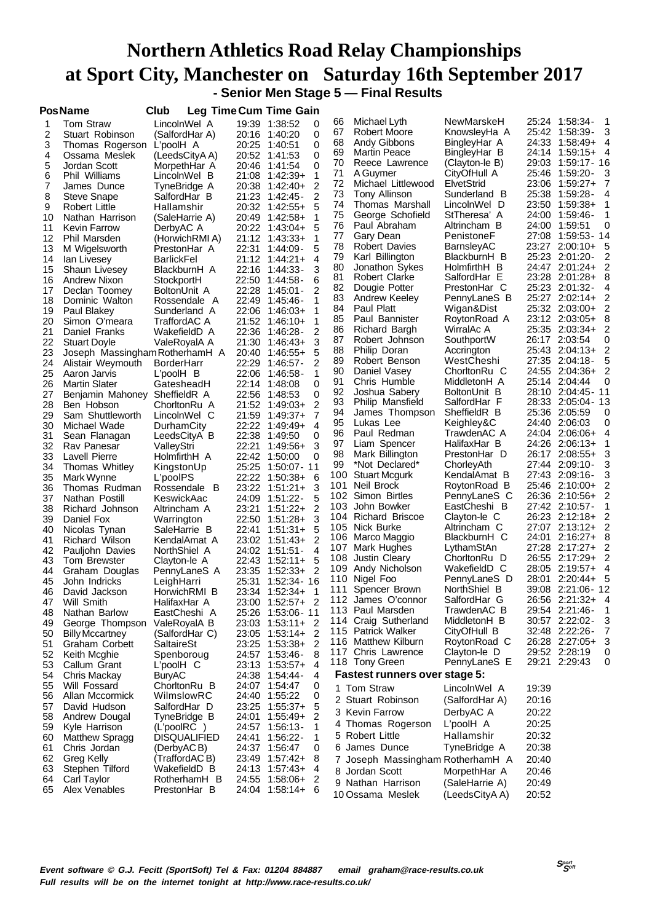## **Northern Athletics Road Relay Championships at Sport City, Manchester on Saturday 16th September 2017 - Senior Men Stage 5 — Final Results**

|    | <b>PosName</b>                 | Club                |       | Leg Time Cum Time Gain       |     |                                      |                |                          |
|----|--------------------------------|---------------------|-------|------------------------------|-----|--------------------------------------|----------------|--------------------------|
| 1  | <b>Tom Straw</b>               | LincolnWel A        |       | 19:39 1:38:52<br>0           | 66  | Michael Lyth                         | NewMarskeH     | 25:24 1:58:34-<br>1      |
| 2  | Stuart Robinson                | (SalfordHar A)      | 20:16 | 0<br>1:40:20                 | 67  | Robert Moore                         | KnowsleyHa A   | 3<br>25:42 1:58:39-      |
| 3  | Thomas Rogerson                | L'poolH A           | 20:25 | 0<br>1:40:51                 | 68  | Andy Gibbons                         | BingleyHar A   | 24:33<br>$1:58:49+$<br>4 |
| 4  | Ossama Meslek                  | (LeedsCityA A)      | 20:52 | 0<br>1:41:53                 | 69  | <b>Martin Peace</b>                  | BingleyHar B   | 24:14<br>$1:59:15+$<br>4 |
| 5  | Jordan Scott                   | MorpethHar A        | 20:46 | 0<br>1:41:54                 | 70  | Reece Lawrence                       | (Clayton-le B) | 29:03<br>1:59:17 - 16    |
| 6  | Phil Williams                  | LincolnWel B        | 21:08 | $1:42:39+$<br>1              | 71  | A Guymer                             | CityOfHull A   | 25:46<br>1:59:20-<br>3   |
| 7  | James Dunce                    | TyneBridge A        | 20:38 | 2<br>$1:42:40+$              | 72  | Michael Littlewood                   | ElvetStrid     | 23:06<br>$1:59:27+$<br>7 |
| 8  | <b>Steve Snape</b>             | SalfordHar B        | 21:23 | $\overline{2}$<br>$1:42:45-$ | 73  | <b>Tony Allinson</b>                 | Sunderland B   | 25:38<br>1:59:28-<br>4   |
| 9  | Robert Little                  | Hallamshir          | 20:32 | $1:42:55+$<br>5              | 74  | Thomas Marshall                      | LincolnWel D   | 23:50<br>1:59:38+        |
| 10 | Nathan Harrison                | (SaleHarrie A)      | 20:49 | $1:42:58+$<br>1              | 75  | George Schofield                     | StTheresa' A   | 24:00 1:59:46-<br>1      |
| 11 | Kevin Farrow                   | DerbyAC A           | 20:22 | 5<br>1:43:04+                | 76  | Paul Abraham                         | Altrincham B   | 24:00 1:59:51<br>0       |
| 12 | Phil Marsden                   | (HorwichRMI A)      | 21:12 | $1:43:33+$<br>1              | 77  | Gary Dean                            | PenistoneF     | 27:08<br>1:59:53 - 14    |
| 13 | M Wigelsworth                  | PrestonHar A        | 22:31 | 5<br>1:44:09-                | 78  | <b>Robert Davies</b>                 | BarnsleyAC     | 23:27<br>$2:00:10+$<br>5 |
| 14 | lan Livesey                    | <b>BarlickFel</b>   |       | 21:12 1:44:21+<br>4          | 79  | Karl Billington                      | BlackburnH B   | 25:23<br>$2:01:20-$<br>2 |
| 15 | Shaun Livesey                  | BlackburnH A        | 22:16 | $1:44:33-$<br>3              | 80  | Jonathon Sykes                       | HolmfirthH B   | 24:47 2:01:24+<br>2      |
| 16 | Andrew Nixon                   | StockportH          |       | 22:50 1:44:58-<br>6          | 81  | Robert Clarke                        | SalfordHar E   | 23:28<br>$2:01:28+$<br>8 |
| 17 | Declan Toomey                  | BoltonUnit A        | 22:28 | 2<br>1:45:01 -               | 82  | Dougie Potter                        | PrestonHar C   | 25:23<br>$2:01:32-$<br>4 |
| 18 | Dominic Walton                 | Rossendale A        | 22:49 | 1:45:46-<br>1                | 83  | Andrew Keeley                        | PennyLaneS B   | 25:27 2:02:14+           |
| 19 | Paul Blakey                    | Sunderland A        | 22:06 | 1<br>$1:46:03+$              | 84  | Paul Platt                           | Wigan&Dist     | 25:32<br>$2:03:00+$<br>2 |
| 20 | Simon O'meara                  | TraffordAC A        | 21:52 | 1<br>1:46:10+                | 85  | Paul Bannister                       | RoytonRoad A   | 23:12 2:03:05+<br>8      |
| 21 | Daniel Franks                  | WakefieldD A        | 22:36 | 2<br>1:46:28-                | 86  | <b>Richard Bargh</b>                 | WirralAc A     | 25:35<br>$2:03:34+$      |
| 22 | <b>Stuart Doyle</b>            | ValeRoyalA A        | 21:30 | 3<br>$1:46:43+$              | 87  | Robert Johnson                       | SouthportW     | 2:03:54<br>26:17<br>0    |
| 23 | Joseph Massingham RotherhamH A |                     | 20:40 | 5<br>$1:46:55+$              | 88  | Philip Doran                         | Accrington     | 25:43<br>$2:04:13+$<br>2 |
| 24 | Alistair Weymouth              | BorderHarr          | 22:29 | 2<br>$1:46:57-$              | 89  | Robert Benson                        | WestCheshi     | 27:35<br>$2:04:18-$<br>5 |
| 25 | Aaron Jarvis                   | L'poolH B           | 22:06 | 1<br>1:46:58-                | 90  | Daniel Vasey                         | ChorltonRu C   | 24:55<br>$2:04:36+$      |
| 26 | <b>Martin Slater</b>           | GatesheadH          | 22:14 | 0<br>1:48:08                 | 91  | Chris Humble                         | MiddletonH A   | 2:04:44<br>0<br>25:14    |
| 27 | Benjamin Mahoney               | SheffieldR A        | 22:56 | 0<br>1:48:53                 | 92  | Joshua Sabery                        | BoltonUnit B   | 28:10 2:04:45-11         |
| 28 | Ben Hobson                     | ChorltonRu A        | 21:52 | 2<br>1:49:03+                | 93  | Philip Mansfield                     | SalfordHar F   | 28:33<br>$2:05:04 - 13$  |
| 29 | Sam Shuttleworth               | LincolnWel C        | 21:59 | 7<br>$1:49:37+$              | 94  | James Thompson                       | SheffieldR B   | 25:36 2:05:59<br>0       |
| 30 | Michael Wade                   | DurhamCity          | 22:22 | $1:49:49+$<br>4              | 95  | Lukas Lee                            | Keighley&C     | 24:40<br>2:06:03<br>0    |
| 31 | Sean Flanagan                  | LeedsCityA B        | 22:38 | 0<br>1:49:50                 | 96  | Paul Redman                          | TrawdenAC A    | 24:04<br>$2:06:06+$<br>4 |
| 32 | Rav Panesar                    | ValleyStri          | 22:21 | $1:49:56+$<br>3              | 97  | Liam Spencer                         | HalifaxHar B   | 24:26<br>$2:06:13+$      |
| 33 | Lavell Pierre                  | HolmfirthH A        | 22:42 | 1:50:00<br>0                 | 98  | Mark Billington                      | PrestonHar D   | 3<br>26:17<br>$2:08:55+$ |
| 34 | Thomas Whitley                 | KingstonUp          | 25:25 | 1:50:07 - 11                 | 99  | *Not Declared*                       | ChorleyAth     | 27:44 2:09:10-<br>3      |
| 35 | Mark Wynne                     | L'poolPS            | 22:22 | 1:50:38+<br>6                |     | 100 Stuart Mcgurk                    | KendalAmat B   | 27:43<br>$2:09:16-$<br>3 |
| 36 | Thomas Rudman                  | Rossendale B        | 23:22 | 3<br>$1:51:21+$              | 101 | Neil Brock                           | RoytonRoad B   | 25:46<br>$2:10:00+$<br>2 |
| 37 | Nathan Postill                 | KeswickAac          | 24:09 | $1:51:22-$<br>5              | 102 | Simon Birtles                        | PennyLaneS C   | 26:36 2:10:56+<br>2      |
| 38 | Richard Johnson                | Altrincham A        | 23:21 | $\overline{2}$<br>$1:51:22+$ | 103 | John Bowker                          | EastCheshi B   | 27:42 2:10:57-           |
| 39 | Daniel Fox                     | Warrington          | 22:50 | 3<br>$1:51:28+$              | 104 | <b>Richard Briscoe</b>               | Clayton-le C   | 26:23<br>$2:12:18+$<br>2 |
| 40 | Nicolas Tynan                  | SaleHarrie B        | 22:41 | $1:51:31+$<br>5              | 105 | Nick Burke                           | Altrincham C   | 27:07<br>$2:13:12+$      |
| 41 | Richard Wilson                 | KendalAmat A        | 23:02 | 2<br>$1:51:43+$              | 106 | Marco Maggio                         | BlackburnH C   | 24:01<br>$2:16:27+$<br>8 |
| 42 | Pauljohn Davies                | NorthShiel A        | 24:02 | $1:51:51-$<br>4              | 107 | Mark Hughes                          | LythamStAn     | 27:28<br>$2:17:27+$      |
| 43 | <b>Tom Brewster</b>            | Clayton-le A        | 22:43 | 5<br>$1:52:11+$              | 108 | Justin Cleary                        | ChorltonRu D   | 26:55<br>$2:17:29+$<br>2 |
| 44 | Graham Douglas                 | PennyLaneS A        | 23:35 | $1:52:33+$<br>2              | 109 | Andy Nicholson                       | WakefieldD C   | 28:05<br>$2:19:57+$<br>4 |
| 45 | John Indricks                  | LeighHarri          | 25:31 | 1:52:34 - 16                 | 110 | Nigel Foo                            | PennyLaneS D   | 5<br>28:01<br>$2:20:44+$ |
| 46 | David Jackson                  | HorwichRMI B        | 23:34 | $1:52:34+$<br>1              | 111 | Spencer Brown                        | NorthShiel B   | 39:08 2:21:06-12         |
| 47 | Will Smith                     | HalifaxHar A        |       | 23:00 1:52:57+ 2             |     | 112 James O'connor                   | SaltordHar G   | 26:56 2:21:32+<br>4      |
| 48 | Nathan Barlow                  | EastCheshi A        |       | 25:26 1:53:06-11             |     | 113 Paul Marsden                     | TrawdenAC B    | 29:54 2:21:46-           |
| 49 | George Thompson                | ValeRoyalA B        | 23:03 | $1:53:11+$<br>-2             |     | 114 Craig Sutherland                 | MiddletonH B   | 30:57 2:22:02-<br>3      |
| 50 | <b>Billy Mccartney</b>         | (SalfordHar C)      |       | 23:05 1:53:14+<br>2          |     | 115 Patrick Walker                   | CityOfHull B   | $2:22:26-$<br>32:48<br>7 |
| 51 | Graham Corbett                 | SaltaireSt          |       | 2<br>23:25 1:53:38+          |     | 116 Matthew Kilburn                  | RoytonRoad C   | 26:28 2:27:05+<br>3      |
| 52 | Keith Mcghie                   | Spenboroug          |       | 24:57 1:53:46-<br>8          |     | 117 Chris Lawrence                   | Clayton-le D   | 29:52 2:28:19<br>0       |
| 53 | Callum Grant                   | L'poolH C           |       | 4<br>23:13 1:53:57+          |     | 118 Tony Green                       | PennyLaneS E   | 29:21 2:29:43<br>0       |
| 54 | Chris Mackay                   | <b>BuryAC</b>       |       | 24:38 1:54:44-<br>4          |     | <b>Fastest runners over stage 5:</b> |                |                          |
| 55 | Will Fossard                   | ChorltonRu B        |       | 24:07 1:54:47<br>0           |     | 1 Tom Straw                          | LincolnWel A   | 19:39                    |
| 56 | Allan Mccormick                | WilmslowRC          | 24:40 | 1:55:22<br>0                 |     | 2 Stuart Robinson                    | (SalfordHar A) | 20:16                    |
| 57 | David Hudson                   | SalfordHar D        |       | 5<br>23:25 1:55:37+          |     | 3 Kevin Farrow                       | DerbyAC A      | 20:22                    |
| 58 | Andrew Dougal                  | TyneBridge B        | 24:01 | 2<br>$1:55:49+$              |     |                                      |                |                          |
| 59 | Kyle Harrison                  | (L'poolRC)          | 24:57 | 1:56:13-<br>1                |     | 4 Thomas Rogerson                    | L'poolH A      | 20:25                    |
| 60 | Matthew Spragg                 | <b>DISQUALIFIED</b> | 24:41 | 1:56:22-<br>1                |     | 5 Robert Little                      | Hallamshir     | 20:32                    |
| 61 | Chris Jordan                   | (DerbyACB)          |       | 24:37 1:56:47<br>0           |     | 6 James Dunce                        | TyneBridge A   | 20:38                    |
| 62 | Greg Kelly                     | (TraffordACB)       | 23:49 | 1:57:42+<br>8                |     | 7 Joseph Massingham RotherhamH A     |                | 20:40                    |
| 63 | Stephen Tilford                | WakefieldD B        |       | 4<br>24:13 1:57:43+          |     | 8 Jordan Scott                       | MorpethHar A   | 20:46                    |
| 64 | Carl Taylor                    | RotherhamH B        |       | 24:55 1:58:06+<br>2          |     | 9 Nathan Harrison                    | (SaleHarrie A) | 20:49                    |
| 65 | Alex Venables                  | PrestonHar B        |       | 24:04 1:58:14+<br>6          |     | 10 Ossama Meslek                     | (LeedsCityA A) | 20:52                    |
|    |                                |                     |       |                              |     |                                      |                |                          |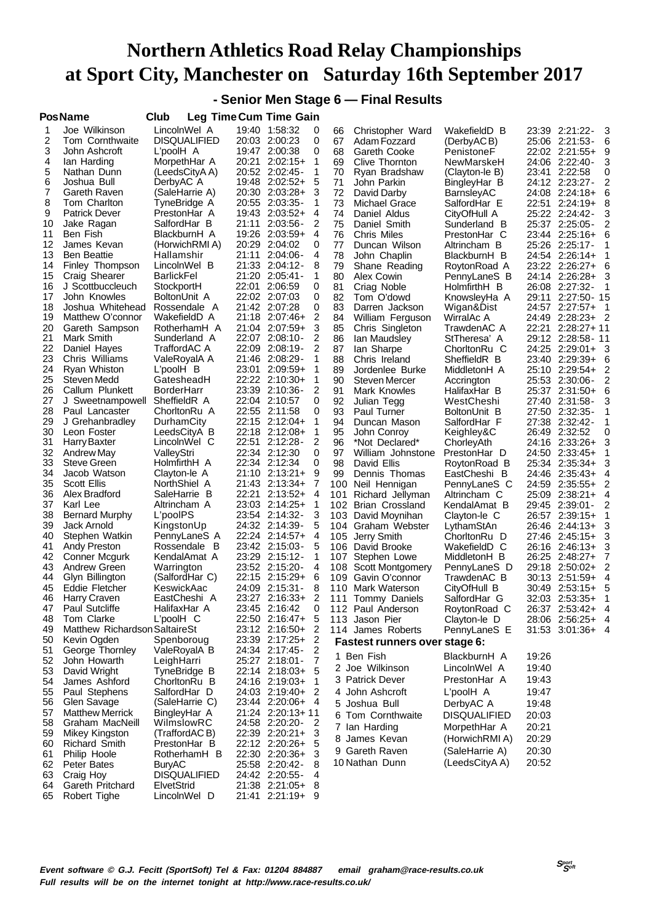**- Senior Men Stage 6 — Final Results**

|          | <b>PosName</b>                           | Club                            |                | <b>Leg Time Cum Time Gain</b>    |                |            |                                         |                              |                                                 |
|----------|------------------------------------------|---------------------------------|----------------|----------------------------------|----------------|------------|-----------------------------------------|------------------------------|-------------------------------------------------|
| 1        | Joe Wilkinson                            | LincolnWel A                    | 19:40          | 1:58:32                          | 0              | 66         | Christopher Ward                        | WakefieldD B                 | 3<br>23:39 2:21:22-                             |
| 2        | Tom Cornthwaite                          | <b>DISQUALIFIED</b>             |                | 20:03 2:00:23                    | 0              | 67         | Adam Fozzard                            | (DerbyACB)                   | 25:06 2:21:53-<br>6                             |
| 3        | John Ashcroft                            | L'poolH A                       |                | 19:47 2:00:38                    | 0              | 68         | Gareth Cooke                            | PenistoneF                   | 22:02 2:21:55+<br>9                             |
| 4        | lan Harding                              | MorpethHar A                    | 20:21          | $2:02:15+$                       | 1              | 69         | Clive Thornton                          | NewMarskeH                   | 24:06 2:22:40-<br>3                             |
| 5        | Nathan Dunn                              | (LeedsCityA A)                  | 20:52          | $2:02:45-$                       | 1              | 70         | Rvan Bradshaw                           | (Clayton-le B)               | 2:22:58<br>23:41<br>0                           |
| 6        | Joshua Bull                              | DerbyAC A                       | 19:48          | $2:02:52+$                       | 5              | 71         | John Parkin                             | BingleyHar B                 | 24:12 2:23:27-<br>2                             |
| 7        | Gareth Raven                             | (SaleHarrie A)                  | 20:30          | $2:03:28+$                       | 3              | 72         | David Darby                             | BarnsleyAC                   | 24:08<br>$2:24:18+$<br>6                        |
| 8        | Tom Charlton                             | TyneBridge A                    |                | 20:55 2:03:35-                   | 1              | 73         | Michael Grace                           | SalfordHar E                 | 22:51 2:24:19+<br>8                             |
| 9<br>10  | <b>Patrick Dever</b>                     | PrestonHar A                    | 21:11          | 19:43 2:03:52+<br>$2:03:56-$     | 4<br>2         | 74<br>75   | Daniel Aldus                            | CityOfHull A                 | 25:22 2:24:42-<br>3                             |
| 11       | Jake Ragan<br>Ben Fish                   | SalfordHar B<br>BlackburnH A    | 19:26          | 2:03:59+                         | 4              | 76         | Daniel Smith<br>Chris Miles             | Sunderland B<br>PrestonHar C | 25:37<br>$2:25:05-$<br>2<br>23:44 2:25:16+<br>6 |
| 12       | James Kevan                              | (HorwichRMI A)                  | 20:29          | 2:04:02                          | 0              | 77         | Duncan Wilson                           | Altrincham B                 | 25:26<br>$2:25:17-$<br>1                        |
| 13       | <b>Ben Beattie</b>                       | Hallamshir                      | 21:11          | $2:04:06-$                       | 4              | 78         | John Chaplin                            | BlackburnH B                 | 24:54 2:26:14+                                  |
| 14       | Finley Thompson                          | LincolnWel B                    | 21:33          | $2:04:12-$                       | 8              | 79         | Shane Reading                           | RoytonRoad A                 | 23:22 2:26:27+<br>6                             |
| 15       | Craig Shearer                            | BarlickFel                      |                | 21:20 2:05:41-                   | 1              | 80         | Alex Cowin                              | PennyLaneS B                 | 24:14 2:26:28+<br>3                             |
| 16       | J Scottbuccleuch                         | StockportH                      | 22:01          | 2:06:59                          | 0              | 81         | Criag Noble                             | HolmfirthH B                 | 26:08 2:27:32-                                  |
| 17       | John Knowles                             | BoltonUnit A                    |                | 22:02 2:07:03                    | 0              | 82         | Tom O'dowd                              | KnowsleyHa A                 | 2:27:50-15<br>29:11                             |
| 18       | Joshua Whitehead                         | Rossendale A                    |                | 21:42 2:07:28                    | 0              | 83         | Darren Jackson                          | Wigan&Dist                   | 24:57 2:27:57+                                  |
| 19       | Matthew O'connor                         | WakefieldD A                    | 21:18          | $2:07:46+$                       | 2              | 84         | William Ferguson                        | WirralAc A                   | $2:28:23+2$<br>24:49                            |
| 20<br>21 | Gareth Sampson                           | RotherhamH A                    |                | 21:04 2:07:59+                   | 3<br>2         | 85         | Chris Singleton                         | TrawdenAC A                  | 22:21<br>$2:28:27+11$                           |
| 22       | Mark Smith<br>Daniel Hayes               | Sunderland A<br>TraffordAC A    | 22:07<br>22:09 | $2:08:10-$<br>$2:08:19-$         | 2              | 86<br>87   | lan Maudsley<br>lan Sharpe              | StTheresa' A<br>ChorltonRu C | 29:12 2:28:58-11<br>24:25 2:29:01+<br>3         |
| 23       | Chris Williams                           | ValeRoyalA A                    |                | 21:46 2:08:29-                   | 1              | 88         | Chris Ireland                           | SheffieldR B                 | 23:40 2:29:39+<br>6                             |
| 24       | Ryan Whiston                             | L'poolH B                       | 23:01          | $2:09:59+$                       | 1              | 89         | Jordenlee Burke                         | MiddletonH A                 | 25:10 2:29:54+<br>2                             |
| 25       | Steven Medd                              | GatesheadH                      |                | 22:22 2:10:30+                   | 1              | 90         | <b>Steven Mercer</b>                    | Accrington                   | 25:53 2:30:06-<br>2                             |
| 26       | Callum Plunkett                          | BorderHarr                      | 23:39          | $2:10:36-$                       | 2              | 91         | Mark Knowles                            | HalifaxHar B                 | 25:37 2:31:50+<br>6                             |
| 27       | J Sweetnampowell                         | SheffieldR A                    |                | 22:04 2:10:57                    | 0              | 92         | Julian Tegg                             | WestCheshi                   | 27:40 2:31:58-<br>3                             |
| 28       | Paul Lancaster                           | ChorltonRu A                    | 22:55          | 2:11:58                          | 0              | 93         | <b>Paul Turner</b>                      | BoltonUnit B                 | 27:50 2:32:35-                                  |
| 29       | J Grehanbradley                          | DurhamCity                      | 22:15          | $2:12:04+$                       | 1              | 94         | Duncan Mason                            | SalfordHar F                 | 27:38<br>$2:32:42-$<br>1                        |
| 30       | Leon Foster                              | LeedsCityA B                    |                | 22:18 2:12:08+                   | 1              | 95         | John Conroy                             | Keighley&C                   | 26:49 2:32:52<br>0                              |
| 31<br>32 | <b>Harry Baxter</b><br><b>Andrew May</b> | LincolnWel C<br>ValleyStri      | 22:51          | $2:12:28-$<br>22:34 2:12:30      | 2<br>0         | 96<br>97   | *Not Declared*<br>William Johnstone     | ChorleyAth<br>PrestonHar D   | $2:33:26+$<br>3<br>24:16<br>24:50 2:33:45+      |
| 33       | <b>Steve Green</b>                       | HolmfirthH A                    |                | 22:34 2:12:34                    | 0              | 98         | David Ellis                             | RoytonRoad B                 | 25:34 2:35:34+<br>3                             |
| 34       | Jacob Watson                             | Clayton-le A                    |                | 21:10 2:13:21+                   | 9              | 99         | Dennis Thomas                           | EastCheshi B                 | 24:46<br>$2:35:43+$<br>4                        |
| 35       | Scott Ellis                              | NorthShiel A                    |                | 21:43 2:13:34+                   | 7              |            | 100 Neil Hennigan                       | PennyLaneS C                 | 24:59<br>$2:35:55+$<br>2                        |
| 36       | Alex Bradford                            | SaleHarrie B                    | 22:21          | $2:13:52+$                       | $\overline{4}$ | 101        | Richard Jellyman                        | Altrincham C                 | 25:09<br>$2:38:21+$<br>4                        |
| 37       | Karl Lee                                 | Altrincham A                    |                | 23:03 2:14:25+                   | 1              |            | 102 Brian Crossland                     | KendalAmat B                 | 29:45 2:39:01 -<br>2                            |
| 38       | <b>Bernard Murphy</b>                    | L'poolPS                        |                | 23:54 2:14:32-                   | 3              | 103        | David Moynihan                          | Clayton-le C                 | 26:57<br>$2:39:15+$                             |
| 39       | Jack Arnold                              | KingstonUp                      |                | 24:32 2:14:39-                   | 5              |            | 104 Graham Webster                      | LythamStAn                   | $2:44:13+$<br>26:46<br>3                        |
| 40       | Stephen Watkin                           | PennyLaneS A                    |                | 22:24 2:14:57+                   | 4              |            | 105 Jerry Smith                         | ChorltonRu D                 | 27:46 2:45:15+<br>3                             |
| 41<br>42 | Andy Preston<br>Conner Mcgurk            | Rossendale<br>B<br>KendalAmat A | 23:42<br>23:29 | $2:15:03-$<br>$2:15:12-$         | 5<br>1         | 106        | David Brooke                            | WakefieldD C<br>MiddletonH B | 26:16<br>$2:46:13+$<br>3<br>26:25 2:48:27+      |
| 43       | Andrew Green                             | Warrington                      |                | 23:52 2:15:20-                   | 4              | 107<br>108 | Stephen Lowe<br><b>Scott Montgomery</b> | PennyLaneS D                 | 7<br>2<br>29:18<br>$2:50:02+$                   |
| 44       | Glyn Billington                          | (SalfordHar C)                  |                | 22:15 2:15:29+                   | 6              | 109        | Gavin O'connor                          | TrawdenAC B                  | 30:13 2:51:59+<br>4                             |
| 45       | Eddie Fletcher                           | KeswickAac                      |                | 24:09 2:15:31 -                  | 8              |            | 110 Mark Waterson                       | CityOfHull B                 | 30:49 2:53:15+<br>5                             |
| 46       | Harry Craven                             | EastCheshi A                    |                | 23:27 2:16:33+                   | 2              |            | 111 Tommy Daniels                       | SalfordHar G                 | 32:03 2:53:35+<br>1                             |
| 47       | Paul Sutcliffe                           | HalifaxHar A                    |                | 23:45 2:16:42                    | 0              |            | 112 Paul Anderson                       | RoytonRoad C                 | 26:37 2:53:42+ 4                                |
| 48       | Tom Clarke                               | L'poolH C                       |                | 22:50 2:16:47+                   | 5              |            | 113 Jason Pier                          | Clayton-le D                 | 28:06 2:56:25+ 4                                |
| 49       | Matthew Richardson SaltaireSt            |                                 |                | 23:12 2:16:50+                   | $\overline{2}$ |            | 114 James Roberts                       | PennyLaneS E                 | 31:53 3:01:36+ 4                                |
| 50       | Kevin Ogden                              | Spenboroug                      |                | 23:39 2:17:25+                   | 2              |            | Fastest runners over stage 6:           |                              |                                                 |
| 51<br>52 | George Thornley<br>John Howarth          | ValeRoyalA B                    |                | 24:34 2:17:45-<br>25:27 2:18:01- | 2<br>7         |            | 1 Ben Fish                              | BlackburnH A                 | 19:26                                           |
| 53       | David Wright                             | LeighHarri<br>TyneBridge B      |                | 22:14 2:18:03+                   | 5              |            | 2 Joe Wilkinson                         | LincolnWel A                 | 19:40                                           |
| 54       | James Ashford                            | ChorltonRu B                    |                | 24:16 2:19:03+                   | 1              |            | 3 Patrick Dever                         | PrestonHar A                 | 19:43                                           |
| 55       | Paul Stephens                            | SalfordHar D                    |                | 24:03 2:19:40+                   | 2              |            | 4 John Ashcroft                         | L'poolH A                    | 19:47                                           |
| 56       | Glen Savage                              | (SaleHarrie C)                  |                | 23:44 2:20:06+ 4                 |                |            | 5 Joshua Bull                           | DerbyAC A                    | 19:48                                           |
| 57       | <b>Matthew Merrick</b>                   | BingleyHar A                    |                | 21:24 2:20:13+11                 |                |            | 6 Tom Cornthwaite                       | <b>DISQUALIFIED</b>          | 20:03                                           |
| 58       | Graham MacNeill                          | WilmslowRC                      |                | 24:58 2:20:20-                   | 2              |            | 7 Ian Harding                           | MorpethHar A                 | 20:21                                           |
| 59       | Mikey Kingston                           | (TraffordACB)                   |                | 22:39 2:20:21+                   | 3              |            | 8 James Kevan                           | (HorwichRMI A)               | 20:29                                           |
| 60       | <b>Richard Smith</b>                     | PrestonHar B                    |                | 22:12 2:20:26+                   | 5              |            | 9 Gareth Raven                          | (SaleHarrie A)               | 20:30                                           |
| 61<br>62 | Philip Hoole<br>Peter Bates              | RotherhamH B<br>BuryAC          |                | 22:30 2:20:36+<br>25:58 2:20:42- | 8              |            | 10 Nathan Dunn                          | (LeedsCityA A)               | 20:52                                           |
| 63       | Craig Hoy                                | <b>DISQUALIFIED</b>             |                | 24:42 2:20:55-                   | 4              |            |                                         |                              |                                                 |
| 64       | Gareth Pritchard                         | ElvetStrid                      |                | 21:38 2:21:05+                   | - 8            |            |                                         |                              |                                                 |
| 65       | Robert Tighe                             | LincolnWel D                    |                | 21:41 2:21:19+ 9                 |                |            |                                         |                              |                                                 |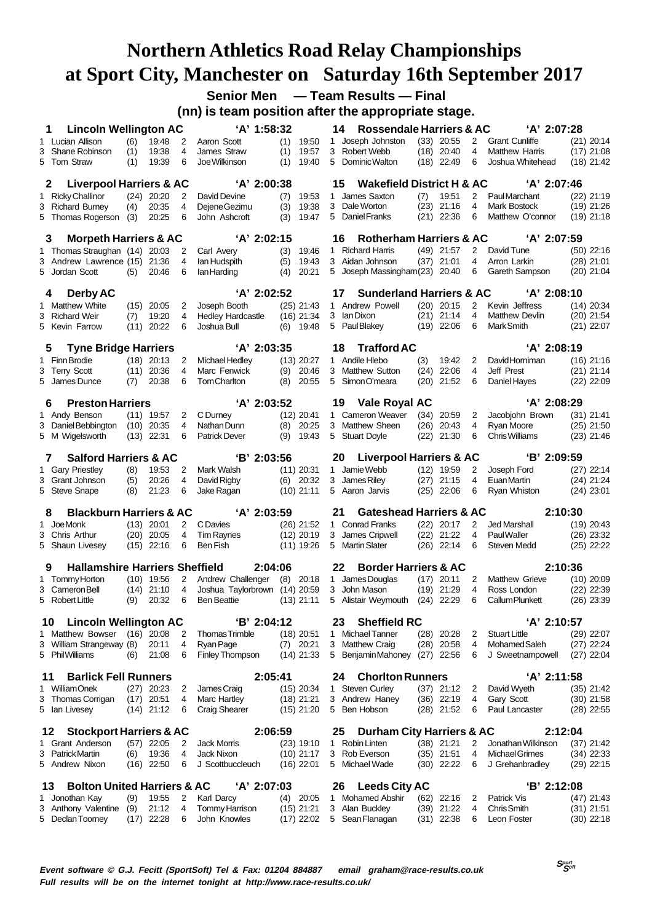**Senior Men — Team Results — Final**

**(nn) is team position after the appropriate stage.**

|    | <b>Lincoln Wellington AC</b><br>1                           |             |                       |        | 'A' 1:58:32                          |                              | 14           | <b>Rossendale Harriers &amp; AC</b>                  |      |                       |        | 'A' 2:07:28                         |                              |
|----|-------------------------------------------------------------|-------------|-----------------------|--------|--------------------------------------|------------------------------|--------------|------------------------------------------------------|------|-----------------------|--------|-------------------------------------|------------------------------|
|    | 1 Lucian Allison                                            | (6)         | 19:48                 | 2      | Aaron Scott                          | (1)<br>19:50                 | 1            | Joseph Johnston                                      |      | $(33)$ 20:55          | 2      | <b>Grant Cunliffe</b>               | $(21)$ 20:14                 |
|    | 3 Shane Robinson                                            | (1)         | 19:38                 | 4      | James Straw                          | 19:57<br>(1)                 | 3            | Robert Webb                                          |      | $(18)$ 20:40          | 4      | <b>Matthew Harris</b>               | $(17)$ 21:08                 |
|    | 5 Tom Straw                                                 | (1)         | 19:39                 | 6      | Joe Wilkinson                        | 19:40<br>(1)                 |              | 5 Dominic Walton                                     |      | $(18)$ 22:49          | 6      | Joshua Whitehead                    | $(18)$ 21:42                 |
|    |                                                             |             |                       |        |                                      |                              |              |                                                      |      |                       |        |                                     |                              |
|    | <b>Liverpool Harriers &amp; AC</b><br>2                     |             |                       |        | 'A' 2:00:38                          |                              | 15           | <b>Wakefield District H &amp; AC</b>                 |      |                       |        | 'A' 2:07:46                         |                              |
|    | 1 Ricky Challinor                                           |             | $(24)$ 20:20          | 2      | David Devine                         | 19:53<br>(7)                 | $\mathbf{1}$ | James Saxton                                         | (7)  | 19:51                 | 2      | Paul Marchant                       | $(22)$ 21:19                 |
|    | 3 Richard Burney                                            | (4)         | 20:35                 | 4      | Dejene Gezimu                        | (3)<br>19:38                 |              | 3 Dale Worton                                        |      | $(23)$ 21:16          | 4      | <b>Mark Bostock</b>                 | $(19)$ 21:26                 |
|    | 5 Thomas Rogerson                                           | (3)         | 20:25                 | 6      | John Ashcroft                        | (3)<br>19:47                 |              | 5 Daniel Franks                                      | (21) | 22:36                 | 6      | Matthew O'connor                    | $(19)$ 21:18                 |
|    | <b>Morpeth Harriers &amp; AC</b><br>3                       |             |                       |        | 'A' 2:02:15                          |                              | 16           | <b>Rotherham Harriers &amp; AC</b>                   |      |                       |        | 'A' 2:07:59                         |                              |
|    | 1 Thomas Straughan (14) 20:03                               |             |                       | 2      | Carl Avery                           | (3)<br>19:46                 | 1            | <b>Richard Harris</b>                                |      | $(49)$ 21:57          | 2      | David Tune                          | $(50)$ 22:16                 |
|    | 3 Andrew Lawrence (15) 21:36                                |             |                       | 4      | lan Hudspith                         | 19:43<br>(5)                 |              | 3 Aidan Johnson                                      | (37) | 21:01                 | 4      | Arron Larkin                        | $(28)$ 21:01                 |
|    | 5 Jordan Scott                                              | (5)         | 20:46                 | 6      | lan Harding                          | 20:21<br>(4)                 |              | 5 Joseph Massingham(23)                              |      | 20:40                 | 6      | Gareth Sampson                      | $(20)$ 21:04                 |
|    |                                                             |             |                       |        |                                      |                              |              |                                                      |      |                       |        |                                     |                              |
|    | Derby AC<br>4                                               |             |                       |        | 'A' 2:02:52                          |                              | 17           | <b>Sunderland Harriers &amp; AC</b>                  |      |                       |        | 'A' 2:08:10                         |                              |
|    | 1 Matthew White                                             |             | $(15)$ 20:05          | 2      | Joseph Booth                         | $(25)$ 21:43                 |              | 1 Andrew Powell                                      |      | $(20)$ 20:15          | 2      | Kevin Jeffress                      | $(14)$ 20:34                 |
|    | 3 Richard Weir                                              | (7)         | 19:20                 | 4      | <b>Hedley Hardcastle</b>             | $(16)$ 21:34                 | 3            | lan Dixon                                            |      | $(21)$ 21:14          | 4      | <b>Matthew Devlin</b>               | $(20)$ 21:54                 |
|    | 5 Kevin Farrow                                              | (11)        | 20:22                 | 6      | Joshua Bull                          | (6)<br>19:48                 |              | 5 Paul Blakey                                        |      | $(19)$ 22:06          | 6      | Mark Smith                          | $(21)$ 22:07                 |
|    |                                                             |             |                       |        |                                      |                              |              |                                                      |      |                       |        |                                     |                              |
|    | <b>Tyne Bridge Harriers</b><br>5                            |             |                       |        | 'A' 2:03:35                          |                              | 18           | <b>Trafford AC</b>                                   |      |                       |        | 'A' 2:08:19                         |                              |
|    | 1 Finn Brodie                                               |             | $(18)$ 20:13          | 2      | Michael Hedley                       | $(13)$ 20:27                 |              | 1 Andile Hlebo                                       | (3)  | 19:42                 | 2      | David Horniman                      | $(16)$ 21:16                 |
|    | 3 Terry Scott                                               |             | $(11)$ 20:36          | 4      | Marc Fenwick                         | (9)<br>20:46                 |              | 3 Matthew Sutton                                     | (24) | 22:06                 | 4      | Jeff Prest                          | $(21)$ 21:14                 |
|    | 5 James Dunce                                               | (7)         | 20:38                 | 6      | Tom Charlton                         | (8)<br>20:55                 | 5            | Simon O'meara                                        | (20) | 21:52                 | 6      | Daniel Hayes                        | $(22)$ 22:09                 |
|    | <b>Preston Harriers</b>                                     |             |                       |        | 'A' 2:03:52                          |                              |              |                                                      |      |                       |        | 'A' 2:08:29                         |                              |
|    | 6                                                           |             |                       |        |                                      |                              | 19           | Vale Royal AC<br>1 Cameron Weaver                    |      |                       |        |                                     |                              |
|    | 1 Andy Benson                                               |             | $(11)$ 19:57          | 2<br>4 | C Durney                             | $(12)$ 20:41                 | 3            | <b>Matthew Sheen</b>                                 | (26) | $(34)$ 20:59          | 2<br>4 | Jacobjohn Brown                     | $(31)$ 21:41                 |
|    | 3 Daniel Bebbington<br>5 M Wigelsworth                      | (10)        | 20:35<br>$(13)$ 22:31 | 6      | Nathan Dunn<br><b>Patrick Dever</b>  | (8)<br>20:25<br>(9)<br>19:43 |              | 5 Stuart Doyle                                       | (22) | 20:43<br>21:30        | 6      | Ryan Moore<br><b>Chris Williams</b> | $(25)$ 21:50<br>$(23)$ 21:46 |
|    |                                                             |             |                       |        |                                      |                              |              |                                                      |      |                       |        |                                     |                              |
|    | <b>Salford Harriers &amp; AC</b><br>7                       |             |                       |        | 'B' 2:03:56                          |                              | 20           | <b>Liverpool Harriers &amp; AC</b>                   |      |                       |        | 'B' 2:09:59                         |                              |
|    | 1 Gary Priestley                                            | (8)         | 19:53                 | 2      | Mark Walsh                           | $(11)$ 20:31                 |              | 1 Jamie Webb                                         |      | $(12)$ 19:59          | 2      | Joseph Ford                         | $(27)$ 22:14                 |
|    | 3 Grant Johnson                                             | (5)         | 20:26                 | 4      | David Rigby                          | $(6)$ 20:32                  | 3            | James Riley                                          | (27) | 21:15                 | 4      | Euan Martin                         | $(24)$ 21:24                 |
|    | 5 Steve Snape                                               | (8)         | 21:23                 | 6      | Jake Ragan                           | $(10)$ 21:11                 |              | 5 Aaron Jarvis                                       | (25) | 22:06                 | 6      | Ryan Whiston                        | $(24)$ 23:01                 |
|    | <b>Blackburn Harriers &amp; AC</b><br>8                     |             |                       |        | 'A' 2:03:59                          |                              | 21           | <b>Gateshead Harriers &amp; AC</b>                   |      |                       |        | 2:10:30                             |                              |
|    | 1 Joe Monk                                                  |             | $(13)$ 20:01          | 2      | C Davies                             | $(26)$ 21:52                 |              | 1 Conrad Franks                                      |      | $(22)$ 20:17          | 2      | Jed Marshall                        | $(19)$ 20:43                 |
|    | 3 Chris Arthur                                              |             | $(20)$ 20:05          | 4      | <b>Tim Raynes</b>                    | $(12)$ 20:19                 | 3            | James Cripwell                                       | (22) | 21:22                 | 4      | <b>PaulWaller</b>                   | $(26)$ 23:32                 |
|    | 5 Shaun Livesey                                             |             | $(15)$ 22:16          | 6      | Ben Fish                             | $(11)$ 19:26                 |              | 5 Martin Slater                                      |      | $(26)$ 22:14          | 6      | <b>Steven Medd</b>                  | $(25)$ 22:22                 |
|    |                                                             |             |                       |        |                                      |                              |              |                                                      |      |                       |        |                                     |                              |
|    | <b>Hallamshire Harriers Sheffield</b><br>9                  |             |                       |        | 2:04:06                              |                              | 22           | <b>Border Harriers &amp; AC</b>                      |      |                       |        | 2:10:36                             |                              |
|    | 1 Tommy Horton                                              |             | $(10)$ 19:56          | 2      | Andrew Challenger                    | (8)<br>20:18                 | 1.           |                                                      |      | 20:11                 | 2      | <b>Matthew Grieve</b>               | $(10)$ 20:09                 |
|    | 3 Cameron Bell                                              | (14)        | 21:10                 |        | Joshua Taylorbrown (14) 20:59        |                              |              | James Douglas                                        | (17) |                       |        |                                     |                              |
|    | 5 Robert Little                                             |             |                       | 4      |                                      |                              | 3            | John Mason                                           | (19) | 21:29                 | 4      | Ross London                         | $(22)$ 22:39                 |
|    |                                                             | (9)         | 20:32                 | 6      | <b>Ben Beattie</b>                   | $(13)$ 21:11                 |              | 5 Alistair Weymouth                                  |      | $(24)$ 22:29          | 6      | Callum Plunkett                     | $(26)$ 23:39                 |
|    | 10                                                          |             |                       |        |                                      |                              | 23           |                                                      |      |                       |        |                                     |                              |
|    | <b>Lincoln Wellington AC</b><br>1 Matthew Bowser (16) 20:08 |             |                       | 2      | 'B' 2:04:12<br><b>Thomas Trimble</b> | $(18)$ 20:51                 |              | <b>Sheffield RC</b><br>1 Michael Tanner              |      | $(28)$ 20:28          | 2      | 'A' 2:10:57<br><b>Stuart Little</b> | $(29)$ 22:07                 |
|    | 3 William Strangeway (8)                                    |             | 20:11                 | 4      | Ryan Page                            | $(7)$ 20:21                  |              | 3 Matthew Craig                                      | (28) | 20:58                 | 4      | Mohamed Saleh                       | $(27)$ 22:24                 |
|    | 5 Phil Williams                                             | (6)         | 21:08                 | 6      | Finley Thompson                      | $(14)$ 21:33                 |              | 5 Benjamin Mahoney (27)                              |      | 22:56                 | 6      | J Sweetnampowell                    | $(27)$ 22:04                 |
|    |                                                             |             |                       |        |                                      |                              |              |                                                      |      |                       |        |                                     |                              |
| 11 | <b>Barlick Fell Runners</b>                                 |             |                       |        | 2:05:41                              |                              | 24           | <b>Chorlton Runners</b>                              |      |                       |        | 'A' 2:11:58                         |                              |
|    | 1 William Onek                                              |             | $(27)$ 20:23          | 2      | James Craig                          | $(15)$ 20:34                 |              | 1 Steven Curley                                      |      | $(37)$ 21:12          | 2      | David Wyeth                         | $(35)$ 21:42                 |
|    | 3 Thomas Corrigan                                           |             | $(17)$ 20:51          | 4      | <b>Marc Hartley</b>                  | $(18)$ 21:21                 |              | 3 Andrew Haney                                       |      | $(36)$ 22:19          | 4      | Gary Scott                          | $(30)$ 21:58                 |
|    | 5 Ian Livesey                                               |             | $(14)$ 21:12          | 6      | <b>Craig Shearer</b>                 | $(15)$ 21:20                 |              | 5 Ben Hobson                                         |      | $(28)$ 21:52          | 6      | Paul Lancaster                      | $(28)$ 22:55                 |
|    | 12                                                          |             |                       |        | 2:06:59                              |                              | 25           |                                                      |      |                       |        | 2:12:04                             |                              |
|    | <b>Stockport Harriers &amp; AC</b><br>1 Grant Anderson      |             | $(57)$ 22:05          | 2      | <b>Jack Morris</b>                   | $(23)$ 19:10                 | 1.           | <b>Durham City Harriers &amp; AC</b><br>Robin Linten |      | $(38)$ 21:21          | 2      | Jonathan Wilkinson                  |                              |
|    | 3 Patrick Martin                                            | (6)         | 19:36                 | 4      | Jack Nixon                           | $(10)$ 21:17                 |              | 3 Rob Everson                                        |      | $(35)$ 21:51          | 4      | Michael Grimes                      | $(37)$ 21:42<br>$(34)$ 22:33 |
|    | 5 Andrew Nixon                                              |             | $(16)$ 22:50          | 6      | J Scottbuccleuch                     | $(16)$ 22:01                 |              | 5 Michael Wade                                       |      | $(30)$ 22:22          | 6      | J Grehanbradley                     | $(29)$ 22:15                 |
|    |                                                             |             |                       |        |                                      |                              |              |                                                      |      |                       |        |                                     |                              |
|    | <b>Bolton United Harriers &amp; AC</b><br>13                |             |                       |        | 'A' 2:07:03                          |                              | 26           | <b>Leeds City AC</b>                                 |      |                       |        | 'B' 2:12:08                         |                              |
|    | 1 Jonothan Kay                                              | (9)         | 19:55                 | 2      | Karl Darcy                           | $(4)$ 20:05                  | 1            | <b>Mohamed Abshir</b>                                | (62) | 22:16                 | 2      | Patrick Vis                         | $(47)$ 21:43                 |
|    | 3 Anthony Valentine<br>5 Declan Toomey                      | (9)<br>(17) | 21:12<br>22:28        | 4<br>6 | Tommy Harrison<br>John Knowles       | $(15)$ 21:21<br>$(17)$ 22:02 |              | 3 Alan Buckley<br>5 Sean Flanagan                    | (39) | 21:22<br>$(31)$ 22:38 | 4<br>6 | <b>Chris</b> Smith<br>Leon Foster   | $(31)$ 21:51<br>$(30)$ 22:18 |

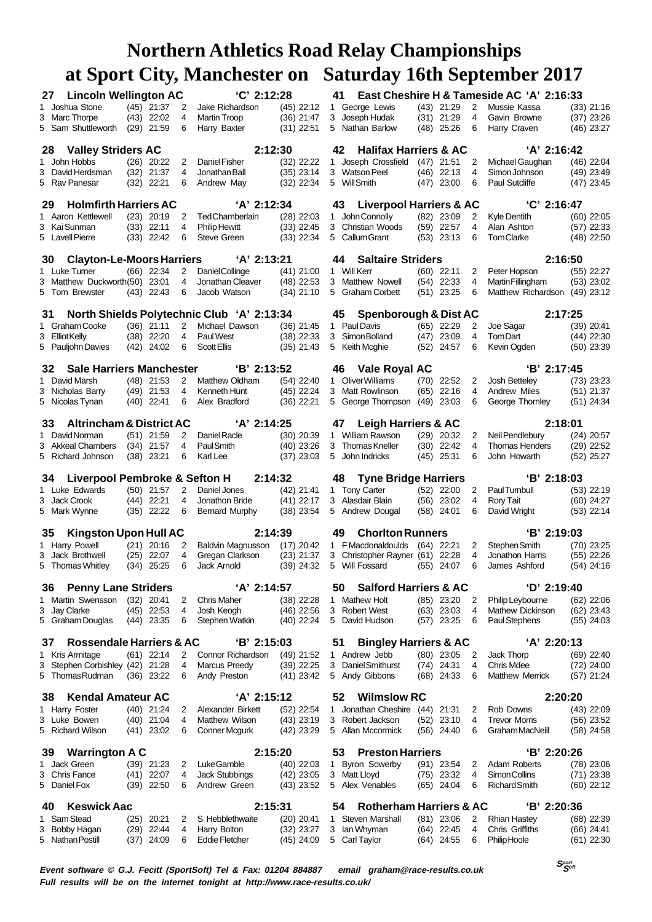| 27 | <b>Lincoln Wellington AC</b>             |      |                              |        | 'C' 2:12:28                                |                              | 41           |                                    |      |                              |                | East Cheshire H & Tameside AC 'A' 2:16:33 |                              |
|----|------------------------------------------|------|------------------------------|--------|--------------------------------------------|------------------------------|--------------|------------------------------------|------|------------------------------|----------------|-------------------------------------------|------------------------------|
|    | 1 Joshua Stone                           |      | $(45)$ 21:37                 | 2      | Jake Richardson                            | (45) 22:12                   | 1.           | George Lewis                       |      | $(43)$ 21:29                 | 2              | Mussie Kassa                              | $(33)$ 21:16                 |
|    | 3 Marc Thorpe                            |      | $(43)$ 22:02                 | 4      | Martin Troop                               | (36) 21:47                   | 3            | Joseph Hudak                       |      | $(31)$ 21:29                 | 4              | Gavin Browne                              | $(37)$ 23:26                 |
|    | 5 Sam Shuttleworth                       |      | $(29)$ 21:59                 | 6      | Harry Baxter                               | $(31)$ 22:51                 |              | 5 Nathan Barlow                    |      | $(48)$ 25:26                 | 6              | Harry Craven                              | $(46)$ 23:27                 |
| 28 | <b>Valley Striders AC</b>                |      |                              |        | 2:12:30                                    |                              | 42           | <b>Halifax Harriers &amp; AC</b>   |      |                              |                | 'A' 2:16:42                               |                              |
|    | 1 John Hobbs                             |      | $(26)$ 20:22                 | 2      | Daniel Fisher                              | $(32)$ 22:22                 | 1            | Joseph Crossfield                  |      | $(47)$ 21:51                 | 2              | Michael Gaughan                           | $(46)$ 22:04                 |
|    | 3 David Herdsman                         | (32) | 21:37                        | 4      | Jonathan Ball                              | $(35)$ 23:14                 | 3            | <b>Watson Peel</b>                 | (46) | 22:13                        | 4              | Simon Johnson                             | $(49)$ 23:49                 |
|    | 5 Rav Panesar                            | (32) | 22:21                        | 6      | Andrew May                                 | $(32)$ 22:34                 |              | 5 Will Smith                       | (47) | 23:00                        | 6              | Paul Sutcliffe                            | $(47)$ 23:45                 |
| 29 | <b>Holmfirth Harriers AC</b>             |      |                              |        | 'A' 2:12:34                                |                              | 43           | <b>Liverpool Harriers &amp; AC</b> |      |                              |                | 'C' 2:16:47                               |                              |
|    | 1 Aaron Kettlewell                       |      | $(23)$ 20:19                 | 2      | <b>TedChamberlain</b>                      | $(28)$ 22:03                 | $\mathbf{1}$ | John Connolly                      |      | $(82)$ 23:09                 | 2              | <b>Kyle Dentith</b>                       | $(60)$ 22:05                 |
|    | 3 Kai Sunman                             |      | $(33)$ 22:11                 | 4      | <b>Philip Hewitt</b>                       | $(33)$ 22:45                 |              | 3 Christian Woods                  |      | $(59)$ 22:57                 | $\overline{4}$ | Alan Ashton                               | $(57)$ 22:33                 |
|    | 5 Lavell Pierre                          |      | $(33)$ 22:42                 | 6      | <b>Steve Green</b>                         | $(33)$ 22:34                 |              | 5 Callum Grant                     | (53) | 23:13                        | 6              | <b>TomClarke</b>                          | $(48)$ 22:50                 |
| 30 | <b>Clayton-Le-Moors Harriers</b>         |      |                              |        | 'A' 2:13:21                                |                              | 44           | <b>Saltaire Striders</b>           |      |                              |                | 2:16:50                                   |                              |
|    | 1 Luke Turner                            |      | $(66)$ 22:34                 | 2      | Daniel Collinge                            | $(41)$ 21:00                 |              | 1 Will Kerr                        |      | $(60)$ 22:11                 | 2              | Peter Hopson                              | $(55)$ 22:27                 |
|    | 3 Matthew Duckworth(50)                  |      | 23:01                        | 4      | Jonathan Cleaver                           | $(48)$ 22:53                 |              | 3 Matthew Nowell                   | (54) | 22:33                        | $\overline{4}$ | Martin Fillingham                         | $(53)$ 23:02                 |
|    | 5 Tom Brewster                           |      | $(43)$ 22:43                 | 6      | Jacob Watson                               | $(34)$ 21:10                 |              | 5 Graham Corbett                   |      | $(51)$ 23:25                 | 6              | Matthew Richardson (49) 23:12             |                              |
| 31 |                                          |      |                              |        | North Shields Polytechnic Club 'A' 2:13:34 |                              | 45           | <b>Spenborough &amp; Dist AC</b>   |      |                              |                | 2:17:25                                   |                              |
|    | 1 Graham Cooke                           |      | $(36)$ 21:11                 | 2      | Michael Dawson                             | $(36)$ 21:45                 | 1            | Paul Davis                         |      | $(65)$ 22:29                 | 2              | Joe Sagar                                 | $(39)$ 20:41                 |
|    | 3 Elliot Kelly                           |      | $(38)$ 22:20                 | 4      | Paul West                                  | $(38)$ 22:33                 |              | 3 Simon Bolland                    | (47) | 23:09                        | 4              | <b>TomDart</b>                            | $(44)$ 22:30                 |
|    | 5 Pauljohn Davies                        |      | $(42)$ 24:02                 | 6      | <b>Scott Ellis</b>                         | $(35)$ 21:43                 |              | 5 Keith Mcghie                     | (52) | 24:57                        | 6              | Kevin Ogden                               | $(50)$ 23:39                 |
| 32 | <b>Sale Harriers Manchester</b>          |      |                              |        | $B'$ 2:13:52                               |                              | 46           | Vale Royal AC                      |      |                              |                | 'B' 2:17:45                               |                              |
| 1  | David Marsh                              |      | $(48)$ 21:53                 | 2      | Matthew Oldham                             | $(54)$ 22:40                 |              | 1 Oliver Williams                  |      | $(70)$ 22:52                 | 2              | Josh Betteley                             | $(73)$ 23:23                 |
|    | 3 Nicholas Barry                         |      | $(49)$ 21:53                 | 4      | Kenneth Hunt                               | $(45)$ 22:24                 |              | 3 Matt Rowlinson                   | (65) | 22:16                        | 4              | <b>Andrew Miles</b>                       | $(51)$ 21:37                 |
|    | 5 Nicolas Tynan                          |      | $(40)$ 22:41                 | 6      | Alex Bradford                              | $(36)$ 22:21                 |              | 5 George Thompson                  | (49) | 23:03                        | 6              | George Thornley                           | $(51)$ 24:34                 |
| 33 | <b>Altrincham &amp; District AC</b>      |      |                              |        | 'A' 2:14:25                                |                              | 47           | <b>Leigh Harriers &amp; AC</b>     |      |                              |                | 2:18:01                                   |                              |
| 1  | David Norman                             |      | $(51)$ 21:59                 | 2      | Daniel Racle                               | (30) 20:39                   |              | 1 William Rawson                   |      | $(29)$ 20:32                 | 2              | Neil Pendlebury                           | $(24)$ 20:57                 |
|    | 3 Akkeal Chambers                        |      | $(34)$ 21:57                 | 4      | Paul Smith                                 | $(40)$ 23:26                 |              | 3 Thomas Kneller                   | (30) | 22:42                        | 4              | <b>Thomas Henders</b>                     | $(29)$ 22:52                 |
|    | 5 Richard Johnson                        |      | $(38)$ 23:21                 | 6      | Karl Lee                                   | $(37)$ 23:03                 |              | 5 John Indricks                    |      | $(45)$ 25:31                 | 6              | John Howarth                              | $(52)$ 25:27                 |
|    |                                          |      |                              |        |                                            |                              |              |                                    |      |                              |                |                                           |                              |
|    |                                          |      |                              |        |                                            |                              |              |                                    |      |                              |                |                                           |                              |
| 34 | <b>Liverpool Pembroke &amp; Sefton H</b> |      |                              |        | 2:14:32                                    |                              | 48           | <b>Tyne Bridge Harriers</b>        |      |                              |                | 'B' 2:18:03                               |                              |
|    | 1 Luke Edwards<br>3 Jack Crook           |      | $(50)$ 21:57<br>$(44)$ 22:21 | 2<br>4 | Daniel Jones<br>Jonathon Bride             | $(42)$ 21:41                 |              | 1 Tony Carter<br>3 Alasdair Blain  | (56) | $(52)$ 22:00<br>23:02        | 2<br>4         | <b>PaulTurnbull</b><br>Rory Tait          | $(53)$ 22:19<br>$(60)$ 24:27 |
|    | 5 Mark Wynne                             |      | $(35)$ 22:22                 | 6      | <b>Bernard Murphy</b>                      | $(41)$ 22:17<br>$(38)$ 23:54 |              | 5 Andrew Dougal                    |      | $(58)$ 24:01                 | 6              | David Wright                              | $(53)$ 22:14                 |
| 35 | <b>Kingston Upon Hull AC</b>             |      |                              |        | 2:14:39                                    |                              | 49           | <b>Choriton Runners</b>            |      |                              |                | 'B' 2:19:03                               |                              |
|    | 1 Harry Powell                           |      | $(21)$ 20:16                 | 2      | Baldvin Magnusson                          | $(17)$ 20:42                 |              | 1 F Macdonaldoulds                 |      | $(64)$ 22:21                 | 2              | Stephen Smith                             | $(70)$ 23:25                 |
|    | 3 Jack Brothwell                         | (25) | 22:07                        | 4      | Gregan Clarkson                            | $(23)$ 21:37                 |              | 3 Christopher Rayner (61) 22:28    |      |                              | 4              | Jonathon Harris                           | $(55)$ 22:26                 |
|    | 5 Thomas Whitley                         |      | $(34)$ 25:25                 | 6      | Jack Arnold                                | $(39)$ 24:32                 |              | 5 Will Fossard                     |      | $(55)$ 24:07                 | 6              | James Ashford                             | $(54)$ 24:16                 |
| 36 | <b>Penny Lane Striders</b>               |      |                              |        | 'A' 2:14:57                                |                              | 50           | <b>Salford Harriers &amp; AC</b>   |      |                              |                | 'D' 2:19:40                               |                              |
|    | 1 Martin Swensson                        |      | $(32)$ 20:41                 | 2      | <b>Chris Maher</b>                         | (38) 22:28                   | 1            | <b>Mathew Holt</b>                 |      | $(85)$ 23:20                 | 2              | Philip Leybourne                          | $(62)$ 22:06                 |
|    | 3 Jay Clarke                             |      | $(45)$ 22:53                 | 4      | Josh Keogh                                 | (46) 22:56                   |              | 3 Robert West                      |      | $(63)$ 23:03                 | 4              | Mathew Dickinson                          | $(62)$ 23:43                 |
|    | 5 Graham Douglas                         |      | (44) 23:35                   | 6      | Stephen Watkin                             | $(40)$ 22:24                 |              | 5 David Hudson                     |      | $(57)$ 23:25                 | 6              | Paul Stephens                             | $(55)$ 24:03                 |
| 37 | <b>Rossendale Harriers &amp; AC</b>      |      |                              |        | 'B' 2:15:03                                |                              | 51           | <b>Bingley Harriers &amp; AC</b>   |      |                              |                | 'A' 2:20:13                               |                              |
|    | 1 Kris Armitage                          |      | $(61)$ 22:14                 | 2      | Connor Richardson                          | $(49)$ 21:52                 |              | 1 Andrew Jebb                      |      | $(80)$ 23:05                 | 2              | Jack Thorp                                | $(69)$ 22:40                 |
|    | 3 Stephen Corbishley (42) 21:28          |      |                              | 4      | Marcus Preedy                              | $(39)$ 22:25                 |              | 3 Daniel Smithurst                 |      | $(74)$ 24:31                 | 4              | <b>Chris Mdee</b>                         | $(72)$ 24:00                 |
|    | 5 Thomas Rudman                          |      | $(36)$ 23:22                 | 6      | Andy Preston                               | $(41)$ 23:42                 |              | 5 Andy Gibbons                     |      | $(68)$ 24:33                 | 6              | <b>Matthew Merrick</b>                    | $(57)$ 21:24                 |
| 38 | <b>Kendal Amateur AC</b>                 |      |                              |        | 'A' 2:15:12                                |                              | 52           | <b>Wilmslow RC</b>                 |      |                              |                | 2:20:20                                   |                              |
|    | 1 Harry Foster                           |      | $(40)$ 21:24                 | 2      | Alexander Birkett                          | $(52)$ 22:54                 | 1.           | Jonathan Cheshire (44) 21:31       |      |                              | 2              | Rob Downs                                 | $(43)$ 22:09                 |
|    | 3 Luke Bowen                             |      | $(40)$ 21:04                 | 4      | Matthew Wilson                             | $(43)$ 23:19                 |              | 3 Robert Jackson                   |      | $(52)$ 23:10                 | 4              | <b>Trevor Morris</b>                      | $(56)$ 23:52                 |
|    | 5 Richard Wilson                         |      | $(41)$ 23:02                 | 6      | Conner Mcgurk                              | $(42)$ 23:29                 |              | 5 Allan Mccormick                  |      | $(56)$ 24:40                 | 6              | Graham MacNeill                           | (58) 24:58                   |
| 39 | <b>Warrington A C</b>                    |      |                              |        | 2:15:20                                    |                              | 53           | <b>Preston Harriers</b>            |      |                              |                | 'B' 2:20:26                               |                              |
|    | 1 Jack Green                             |      | $(39)$ 21:23                 | 2      | Luke Gamble                                | $(40)$ 22:03                 | 1            | <b>Byron Sowerby</b>               |      | $(91)$ 23:54                 | 2              | Adam Roberts                              | $(78)$ 23:06                 |
|    | 3 Chris Fance                            |      | $(41)$ 22:07                 | 4      | <b>Jack Stubbings</b>                      | $(42)$ 23:05                 |              | 3 Matt Lloyd                       |      | $(75)$ 23:32                 | 4              | Simon Collins                             | $(71)$ 23:38                 |
|    | 5 Daniel Fox                             |      | $(39)$ 22:50                 | 6      | Andrew Green                               | $(43)$ 23:52                 |              | 5 Alex Venables                    |      | $(65)$ 24:04                 | 6              | <b>Richard Smith</b>                      | $(60)$ 22:12                 |
| 40 | <b>Keswick Aac</b>                       |      |                              |        | 2:15:31                                    |                              | 54           | <b>Rotherham Harriers &amp; AC</b> |      |                              |                | 'B' 2:20:36                               |                              |
|    | 1 Sam Stead                              |      | $(25)$ 20:21                 | 2      | S Hebblethwaite                            | (20) 20:41                   | 1            | <b>Steven Marshall</b>             |      | $(81)$ 23:06                 | 2              | <b>Rhian Hastey</b>                       | $(68)$ 22:39                 |
| 3  | Bobby Hagan<br>5 Nathan Postill          |      | $(29)$ 22:44<br>$(37)$ 24:09 | 4<br>6 | Harry Bolton<br><b>Eddie Fletcher</b>      | $(32)$ 23:27<br>$(45)$ 24:09 |              | 3 Ian Whyman<br>5 Carl Taylor      |      | $(64)$ 22:45<br>$(64)$ 24:55 | 4<br>6         | Chris Griffiths<br>Philip Hoole           | $(66)$ 24:41<br>$(61)$ 22:30 |

**<sup>S</sup>port Soft Event software © G.J. Fecitt (SportSoft) Tel & Fax: 01204 884887 email graham@race-results.co.uk Full results will be on the internet tonight at http://www.race-results.co.uk/**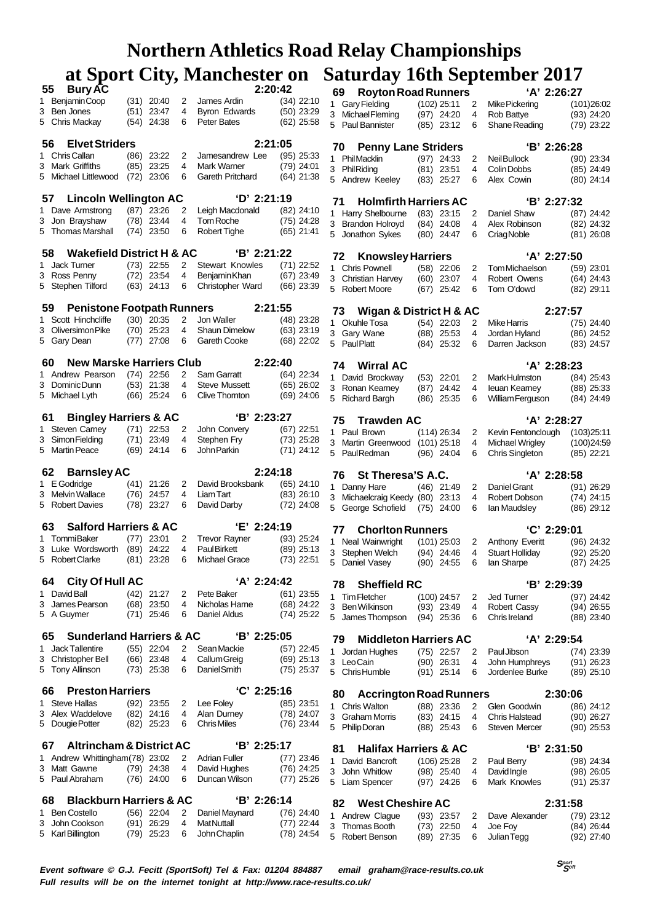|   | <b>Bury AC</b><br>55                       |      |                              |                | 2:20:42                             |                              | 69  | <b>Royton Road Runners</b>                         |                               |       |        | 'A' 2:26:27                           |                              |
|---|--------------------------------------------|------|------------------------------|----------------|-------------------------------------|------------------------------|-----|----------------------------------------------------|-------------------------------|-------|--------|---------------------------------------|------------------------------|
|   | 1 Benjamin Coop                            |      | $(31)$ 20:40                 | 2              | James Ardin                         | $(34)$ 22:10                 |     | 1 Gary Fielding                                    | $(102)$ 25:11                 |       | 2      | Mike Pickering                        | (101)26:02                   |
| 3 | Ben Jones<br>5 Chris Mackay                |      | $(51)$ 23:47<br>$(54)$ 24:38 | 4<br>6         | Byron Edwards<br><b>Peter Bates</b> | $(50)$ 23:29<br>$(62)$ 25:58 |     | 3 Michael Fleming                                  | $(97)$ 24:20                  |       | 4      | Rob Battye                            | $(93)$ 24:20                 |
|   |                                            |      |                              |                |                                     |                              |     | 5 Paul Bannister                                   | $(85)$ 23:12                  |       | 6      | Shane Reading                         | $(79)$ 23:22                 |
|   | <b>Elvet Striders</b><br>56.               |      |                              |                | 2:21:05                             |                              | 70  | <b>Penny Lane Striders</b>                         |                               |       |        | 'B' 2:26:28                           |                              |
|   | 1 Chris Callan                             | (86) | 23:22                        | 2              | Jamesandrew Lee                     | $(95)$ 25:33                 |     | 1 PhilMacklin                                      | $(97)$ 24:33                  |       | 2      | Neil Bullock                          | $(90)$ 23:34                 |
|   | 3 Mark Griffiths                           |      | $(85)$ 23:25                 | 4              | Mark Warner                         | $(79)$ 24:01                 |     | 3 PhilRiding                                       | $(81)$ 23:51                  |       | 4      | Colin Dobbs                           | $(85)$ 24:49                 |
|   | 5 Michael Littlewood                       | (72) | 23:06                        | 6              | Gareth Pritchard                    | $(64)$ 21:38                 |     | 5 Andrew Keeley                                    | $(83)$ 25:27                  |       | 6      | Alex Cowin                            | $(80)$ 24:14                 |
|   | <b>Lincoln Wellington AC</b><br>57         |      |                              |                | 'D' 2:21:19                         |                              | 71  | <b>Holmfirth Harriers AC</b>                       |                               |       |        | 'B' 2:27:32                           |                              |
|   | 1 Dave Armstrong                           |      | (87) 23:26                   | 2              | Leigh Macdonald                     | $(82)$ 24:10                 |     | 1 Harry Shelbourne                                 | $(83)$ 23:15                  |       | 2      | Daniel Shaw                           | $(87)$ 24:42                 |
|   | 3 Jon Brayshaw                             |      | $(78)$ 23:44                 | 4              | Tom Roche                           | (75) 24:28                   |     | 3 Brandon Holroyd                                  | $(84)$ 24:08                  |       | 4      | Alex Robinson                         | $(82)$ 24:32                 |
|   | 5 Thomas Marshall                          |      | $(74)$ 23:50                 | 6              | Robert Tighe                        | $(65)$ 21:41                 |     | 5 Jonathon Sykes                                   | $(80)$ 24:47                  |       | 6      | Criag Noble                           | $(81)$ 26:08                 |
|   | <b>Wakefield District H &amp; AC</b><br>58 |      |                              |                | $B'$ 2:21:22                        |                              | 72  | <b>Knowsley Harriers</b>                           |                               |       |        | 'A' 2:27:50                           |                              |
|   | 1 Jack Turner                              |      | $(73)$ 22:55                 | 2              | <b>Stewart Knowles</b>              | $(71)$ 22:52                 |     | 1 Chris Pownell                                    | $(58)$ 22:06                  |       | 2      | Tom Michaelson                        | $(59)$ 23:01                 |
|   | 3 Ross Penny                               |      | $(72)$ 23:54                 | 4              | Benjamin Khan                       | $(67)$ 23:49                 |     | 3 Christian Harvey                                 | $(60)$ 23:07                  |       | 4      | Robert Owens                          | $(64)$ 24:43                 |
|   | 5 Stephen Tilford                          |      | $(63)$ 24:13                 | 6              | Christopher Ward                    | $(66)$ 23:39                 |     | 5 Robert Moore                                     | $(67)$ 25:42                  |       | 6      | Tom O'dowd                            | $(82)$ 29:11                 |
|   | <b>Penistone Footpath Runners</b><br>59    |      |                              |                | 2:21:55                             |                              | 73  | <b>Wigan &amp; District H &amp; AC</b>             |                               |       |        | 2:27:57                               |                              |
|   | 1 Scott Hinchcliffe                        |      | $(30)$ 20:35                 | 2              | Jon Waller                          | $(48)$ 23:28                 |     | 1 Okuhle Tosa                                      | $(54)$ 22:03                  |       | 2      | <b>Mike Harris</b>                    | (75) 24:40                   |
|   | 3 Oliversimon Pike                         |      | $(70)$ 25:23                 | 4              | Shaun Dimelow                       | $(63)$ 23:19                 |     | 3 Gary Wane                                        | $(88)$ 25:53                  |       | 4      | Jordan Hyland                         | $(86)$ 24:52                 |
|   | 5 Gary Dean                                |      | $(77)$ 27:08                 | 6              | Gareth Cooke                        | $(68)$ 22:02                 |     | 5 Paul Platt                                       | $(84)$ 25:32                  |       | 6      | Darren Jackson                        | $(83)$ 24:57                 |
|   | <b>New Marske Harriers Club</b><br>60      |      |                              |                | 2:22:40                             |                              | 74. | <b>Wirral AC</b>                                   |                               |       |        | 'A' 2:28:23                           |                              |
|   | 1 Andrew Pearson                           |      | $(74)$ 22:56                 | 2              | Sam Garratt                         | (64) 22:34                   |     | 1 David Brockway                                   | $(53)$ 22:01                  |       | 2      | Mark Hulmston                         | $(84)$ 25:43                 |
|   | 3 Dominic Dunn                             |      | $(53)$ 21:38                 | 4              | <b>Steve Mussett</b>                | $(65)$ 26:02                 |     | 3 Ronan Kearney                                    | (87)                          | 24:42 | 4      | leuan Kearney                         | $(88)$ 25:33                 |
|   | 5 Michael Lyth                             |      | $(66)$ 25:24                 | 6              | Clive Thornton                      | $(69)$ 24:06                 | 5   | <b>Richard Bargh</b>                               | (86)                          | 25:35 | 6      | William Ferguson                      | (84) 24:49                   |
|   | <b>Bingley Harriers &amp; AC</b><br>61     |      |                              |                | $'B'$ 2:23:27                       |                              | 75  | <b>Trawden AC</b>                                  |                               |       |        | 'A' 2:28:27                           |                              |
|   | 1 Steven Carney                            |      | $(71)$ 22:53                 | 2              | John Convery                        | $(67)$ 22:51                 |     | 1 Paul Brown                                       | $(114)$ 26:34                 |       | 2      | Kevin Fentonclough                    | (103)25:11                   |
|   | 3 Simon Fielding                           |      | $(71)$ 23:49                 | 4              | Stephen Fry                         | $(73)$ 25:28                 |     | 3 Martin Greenwood                                 | $(101)$ 25:18                 |       | 4      | Michael Wrigley                       | (100)24:59                   |
|   | 5 Martin Peace                             |      | $(69)$ 24:14                 | 6              | John Parkin                         | $(71)$ 24:12                 |     | 5 PaulRedman                                       | $(96)$ 24:04                  |       | 6      | <b>Chris Singleton</b>                | $(85)$ 22:21                 |
|   | <b>Barnsley AC</b><br>62                   |      |                              |                | 2:24:18                             |                              | 76  | St Theresa'S A.C.                                  |                               |       |        | 'A' 2:28:58                           |                              |
|   | 1 E Godridge                               |      | $(41)$ 21:26                 | 2              | David Brooksbank                    | $(65)$ 24:10                 |     | 1 Danny Hare                                       | $(46)$ 21:49                  |       | 2      | Daniel Grant                          | (91) 26:29                   |
|   | 3 Melvin Wallace                           |      | $(76)$ 24:57                 | 4              | Liam Tart                           | $(83)$ 26:10                 |     | 3 Michaelcraig Keedy (80) 23:13                    |                               |       | 4      | Robert Dobson                         | (74) 24:15                   |
|   | 5 Robert Davies                            |      | $(78)$ 23:27                 | 6              | David Darby                         | $(72)$ 24:08                 |     | 5 George Schofield                                 | $(75)$ 24:00                  |       | 6      | lan Maudsley                          | $(86)$ 29:12                 |
|   | <b>Salford Harriers &amp; AC</b><br>63     |      |                              |                | 'E' 2:24:19                         |                              | 77  | <b>Choriton Runners</b>                            |                               |       |        | 'C' 2:29:01                           |                              |
|   | 1 TommiBaker                               | (77) | 23:01                        | 2              | <b>Trevor Rayner</b>                | $(93)$ 25:24                 |     | 1 Neal Wainwright                                  | $(101)$ 25:03                 |       | 2      | Anthony Everitt                       | $(96)$ 24:32                 |
|   | 3 Luke Wordsworth                          | (89) | 24:22                        | 4              | <b>PaulBirkett</b>                  | $(89)$ 25:13                 |     | 3 Stephen Welch                                    | $(94)$ 24:46                  |       | 4      | <b>Stuart Hollidav</b>                | $(92)$ 25:20                 |
|   | 5 Robert Clarke                            |      | $(81)$ 23:28                 | 6              | <b>Michael Grace</b>                | $(73)$ 22:51                 |     | 5 Daniel Vasey                                     | $(90)$ 24:55                  |       | 6      | lan Sharpe                            | (87) 24:25                   |
|   | <b>City Of Hull AC</b><br>64               |      |                              |                | 'A' 2:24:42                         |                              | 78  | <b>Sheffield RC</b>                                |                               |       |        | 'B' 2:29:39                           |                              |
|   | 1 David Ball                               |      | $(42)$ 21:27                 | 2              | Pete Baker                          | $(61)$ 23:55                 |     |                                                    |                               |       |        | <b>Jed Turner</b>                     | (97) 24:42                   |
| 3 | James Pearson                              |      |                              |                |                                     |                              |     |                                                    |                               |       |        |                                       |                              |
|   |                                            |      | $(68)$ 23:50                 | 4              | Nicholas Harne                      | $(68)$ 24:22                 | 3   | 1 Tim Fletcher<br>Ben Wilkinson                    | $(100)$ 24:57<br>$(93)$ 23:49 |       | 2<br>4 | <b>Robert Cassy</b>                   | $(94)$ 26:55                 |
|   | 5 A Guymer                                 |      | $(71)$ 25:46                 | 6              | Daniel Aldus                        | $(74)$ 25:22                 |     | 5 James Thompson                                   | $(94)$ 25:36                  |       | 6      | Chris Ireland                         | $(88)$ 23:40                 |
|   | <b>Sunderland Harriers &amp; AC</b><br>65  |      |                              |                | 'B' 2:25:05                         |                              |     |                                                    |                               |       |        |                                       |                              |
| 1 | <b>Jack Tallentire</b>                     |      | $(55)$ 22:04                 | $\overline{2}$ | Sean Mackie                         | $(57)$ 22:45                 | 79  | <b>Middleton Harriers AC</b>                       |                               |       | 2      | 'A' 2:29:54                           |                              |
|   | 3 Christopher Bell                         |      | $(66)$ 23:48                 | 4              | Callum Greig                        | $(69)$ 25:13                 |     | Jordan Hughes<br>3 Leo Cain                        | $(75)$ 22:57<br>$(90)$ 26:31  |       | 4      | Paul Jibson<br>John Humphreys         | $(74)$ 23:39<br>$(91)$ 26:23 |
|   | 5 Tony Allinson                            |      | $(73)$ 25:38                 | 6              | Daniel Smith                        | $(75)$ 25:37                 |     | 5 ChrisHumble                                      | $(91)$ 25:14                  |       | 6      | Jordenlee Burke                       | $(89)$ 25:10                 |
|   | <b>Preston Harriers</b><br>66              |      |                              |                | 'C' 2:25:16                         |                              |     |                                                    |                               |       |        |                                       |                              |
|   | 1 Steve Hallas                             |      | $(92)$ 23:55                 | 2              | Lee Foley                           | (85) 23:51                   | 80  | <b>Accrington Road Runners</b>                     |                               |       |        | 2:30:06                               |                              |
| 3 | Alex Waddelove                             |      | (82) 24:16                   | 4              | Alan Durney                         | $(78)$ 24:07                 |     | 1 Chris Walton<br>3 Graham Morris                  | $(88)$ 23:36<br>$(83)$ 24:15  |       | 2<br>4 | Glen Goodwin<br><b>Chris Halstead</b> | $(86)$ 24:12<br>$(90)$ 26:27 |
|   | 5 Dougie Potter                            |      | $(82)$ 25:23                 | 6              | <b>Chris Miles</b>                  | $(76)$ 23:44                 |     | 5 Philip Doran                                     | $(88)$ 25:43                  |       | 6      | <b>Steven Mercer</b>                  | $(90)$ 25:53                 |
|   | <b>Altrincham &amp; District AC</b><br>67  |      |                              |                | $B'$ 2:25:17                        |                              | 81  |                                                    |                               |       |        |                                       |                              |
|   | 1 Andrew Whittingham (78) 23:02            |      |                              | 2              | <b>Adrian Fuller</b>                | $(77)$ 23:46                 | 1   | <b>Halifax Harriers &amp; AC</b><br>David Bancroft | $(106)$ 25:28                 |       | 2      | $B'$ 2:31:50<br>Paul Berry            | (98) 24:34                   |
|   | 3 Matt Gawne                               |      | $(79)$ 24:38                 | 4              | David Hughes                        | $(76)$ 24:25                 |     | 3 John Whitlow                                     | $(98)$ 25:40                  |       | 4      | <b>David Ingle</b>                    | $(98)$ 26:05                 |
|   | 5 Paul Abraham                             |      | $(76)$ 24:00                 | 6              | Duncan Wilson                       | $(77)$ 25:26                 |     | 5 Liam Spencer                                     | $(97)$ 24:26                  |       | 6      | Mark Knowles                          | (91) 25:37                   |
|   | <b>Blackburn Harriers &amp; AC</b><br>68   |      |                              |                | 'B' 2:26:14                         |                              | 82  | <b>West Cheshire AC</b>                            |                               |       |        |                                       |                              |
| 1 | <b>Ben Costello</b>                        |      | $(56)$ 22:04                 | 2              | Daniel Maynard                      | $(76)$ 24:40                 |     | 1 Andrew Clague                                    | $(93)$ 23:57                  |       | 2      | 2:31:58<br>Dave Alexander             | (79) 23:12                   |
| 3 | John Cookson<br>5 Karl Billington          |      | $(91)$ 26:29<br>(79) 25:23   | 4<br>6         | <b>MatNuttall</b><br>John Chaplin   | $(77)$ 22:44<br>$(78)$ 24:54 |     | 3 Thomas Booth                                     | $(73)$ 22:50                  |       | 4      | Joe Foy                               | (84) 26:44                   |

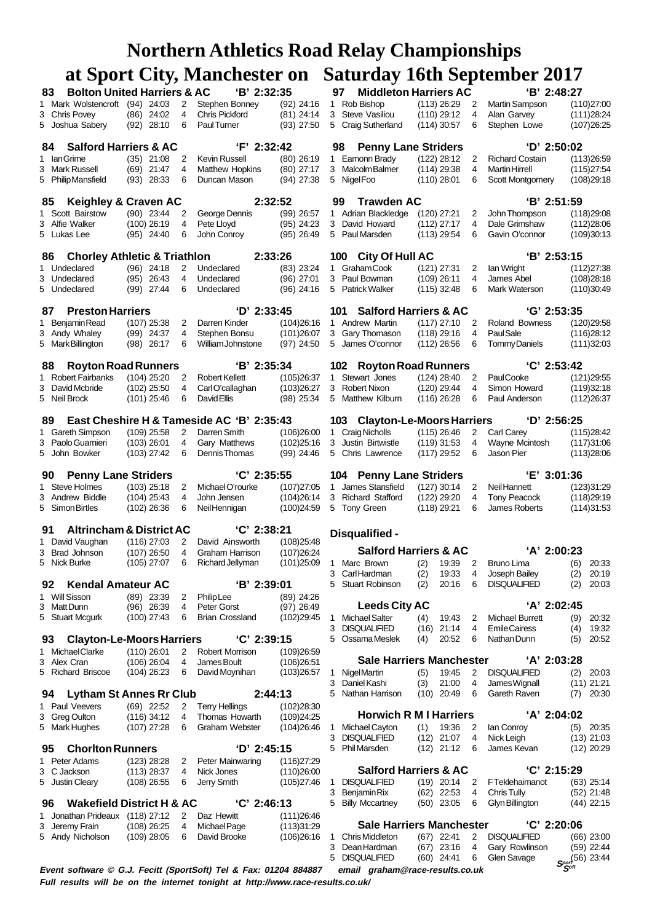|                                                                  |                                         |                | <b>Northern Athletics Road Relay Championships</b> |                              |        |                                                         |                                |                |                                      |                                       |
|------------------------------------------------------------------|-----------------------------------------|----------------|----------------------------------------------------|------------------------------|--------|---------------------------------------------------------|--------------------------------|----------------|--------------------------------------|---------------------------------------|
|                                                                  |                                         |                | at Sport City, Manchester on                       |                              |        |                                                         |                                |                | <b>Saturday 16th September 2017</b>  |                                       |
| 83                                                               | <b>Bolton United Harriers &amp; AC</b>  |                | 'B' 2:32:35                                        |                              | 97     | <b>Middleton Harriers AC</b>                            |                                |                |                                      | 'B' 2:48:27                           |
| 1 Mark Wolstencroft (94) 24:03                                   |                                         | $\overline{2}$ | Stephen Bonney                                     | $(92)$ 24:16                 |        | 1 Rob Bishop                                            | $(113)$ 26:29                  | $\overline{2}$ | Martin Sampson                       | (110)27:00                            |
| 3 Chris Povey                                                    | $(86)$ 24:02                            | 4              | <b>Chris Pickford</b>                              | $(81)$ 24:14                 |        | 3 Steve Vasiliou                                        | $(110)$ 29:12                  | 4              | Alan Garvey                          | (111)28:24                            |
| 5 Joshua Sabery                                                  | $(92)$ 28:10                            | 6              | Paul Turner                                        | $(93)$ 27:50                 |        | 5 Craig Sutherland                                      | $(114)$ 30:57                  | 6              | Stephen Lowe                         | (107)26:25                            |
| <b>Salford Harriers &amp; AC</b><br>84                           |                                         |                | $'F'$ 2:32:42                                      |                              | 98     | <b>Penny Lane Striders</b>                              |                                |                |                                      | $'D'$ 2:50:02                         |
| 1 Ian Grime                                                      | $(35)$ 21:08                            | 2              | <b>Kevin Russell</b>                               | $(80)$ 26:19                 |        | 1 Eamonn Brady                                          | $(122)$ 28:12                  | 2              | <b>Richard Costain</b>               | (113) 26:59                           |
| Mark Russell<br>3                                                | $(69)$ 21:47                            | 4              | Matthew Hopkins                                    | $(80)$ 27:17                 |        | 3 Malcolm Balmer                                        | $(114)$ 29:38                  | 4              | <b>Martin Hirrell</b>                | (115)27:54                            |
| 5 PhilipMansfield                                                | $(93)$ 28:33                            | 6              | Duncan Mason                                       | $(94)$ 27:38                 |        | 5 Nigel Foo                                             | $(110)$ 28:01                  | 6              | <b>Scott Montgomery</b>              | (108)29:18                            |
|                                                                  |                                         |                |                                                    |                              |        |                                                         |                                |                |                                      |                                       |
| 85                                                               | Keighley & Craven AC                    |                |                                                    | 2:32:52                      | 99     | <b>Trawden AC</b>                                       |                                |                |                                      | 'B' 2:51:59                           |
| 1 Scott Bairstow<br>3 Alfie Walker                               | $(90)$ 23:44<br>$(100)$ 26:19           | 2<br>4         | George Dennis<br>Pete Lloyd                        | $(99)$ 26:57<br>$(95)$ 24:23 |        | 1 Adrian Blackledge<br>3 David Howard                   | $(120)$ 27:21<br>$(112)$ 27:17 | 2<br>4         | John Thompson<br>Dale Grimshaw       | (118)29:08<br>(112)28:06              |
| 5 Lukas Lee                                                      | $(95)$ 24:40                            | 6              | John Conroy                                        | $(95)$ 26:49                 |        | 5 Paul Marsden                                          | $(113)$ 29:54                  | 6              | Gavin O'connor                       | (109)30:13                            |
|                                                                  |                                         |                |                                                    |                              |        |                                                         |                                |                |                                      |                                       |
| 86                                                               | <b>Chorley Athletic &amp; Triathlon</b> |                |                                                    | 2:33:26                      |        | 100 City Of Hull AC                                     |                                |                |                                      | 'B' 2:53:15                           |
| 1 Undeclared                                                     | $(96)$ 24:18                            | 2              | Undeclared                                         | $(83)$ 23:24                 |        | 1 Graham Cook                                           | $(121)$ 27:31                  | 2              | lan Wright                           | (112)27:38                            |
| 3 Undeclared<br>5 Undeclared                                     | $(95)$ 26:43<br>$(99)$ 27:44            | 4<br>6         | Undeclared<br>Undeclared                           | $(96)$ 27:01<br>$(96)$ 24:16 |        | 3 Paul Bowman<br>5 Patrick Walker                       | $(109)$ 26:11<br>$(115)$ 32:48 | 4<br>6         | James Abel<br>Mark Waterson          | (108)28:18<br>(110)30:49              |
|                                                                  |                                         |                |                                                    |                              |        |                                                         |                                |                |                                      |                                       |
| <b>Preston Harriers</b><br>87                                    |                                         |                | $D'$ 2:33:45                                       |                              | 101    | <b>Salford Harriers &amp; AC</b>                        |                                |                |                                      | $'G'$ 2:53:35                         |
| 1 Benjamin Read                                                  | $(107)$ 25:38                           | 2              | Darren Kinder                                      | (104)26:16                   |        | 1 Andrew Martin                                         | $(117)$ 27:10                  | 2              | Roland Bowness                       | (120)29:58                            |
| 3 Andy Whaley                                                    | (99) 24:37                              | 4              | Stephen Bonsu                                      | (101)26:07                   |        | 3 Gary Thomason                                         | $(118)$ 29:16                  | 4              | <b>PaulSale</b>                      | (116)28:12                            |
| 5 Mark Billington                                                | $(98)$ 26:17                            | 6              | William Johnstone                                  | $(97)$ 24:50                 |        | 5 James O'connor                                        | $(112)$ 26:56                  | 6              | <b>Tommy Daniels</b>                 | (111)32:03                            |
| 88                                                               | <b>Royton Road Runners</b>              |                | 'B' 2:35:34                                        |                              | 102    | <b>Royton Road Runners</b>                              |                                |                |                                      | $°C'$ 2:53:42                         |
| 1 Robert Fairbanks                                               | $(104)$ 25:20                           | 2              | <b>Robert Kellett</b>                              | (105)26:37                   |        | 1 Stewart Jones                                         | $(124)$ 28:40                  | $\overline{2}$ | PaulCooke                            | (121)29:55                            |
| 3 David Mcbride                                                  | $(102)$ 25:50                           | 4              | CarlO'callaghan                                    | (103)26:27                   |        | 3 Robert Nixon                                          | $(120)$ 29:44                  | 4              | Simon Howard                         | (119)32:18                            |
| 5 Neil Brock                                                     | $(101)$ 25:46                           | 6              | <b>DavidEllis</b>                                  | $(98)$ 25:34                 |        | 5 Matthew Kilburn                                       | $(116)$ 26:28                  | 6              | Paul Anderson                        | (112)26:37                            |
|                                                                  |                                         |                |                                                    |                              |        |                                                         |                                |                |                                      |                                       |
| 89                                                               |                                         |                | East Cheshire H & Tameside AC 'B' 2:35:43          |                              | 103    | <b>Clayton-Le-Moors Harriers</b>                        |                                |                |                                      | $'D'$ 2:56:25                         |
| 1 Gareth Simpson<br>3 Paolo Guarnieri                            | $(109)$ 25:58<br>$(103)$ 26:01          | 2<br>4         | Darren Smith<br>Gary Matthews                      | (106)26:00<br>(102)25:16     |        | 1 Craig Nicholls<br>3 Justin Birtwistle                 | $(115)$ 26:46<br>$(119)$ 31:53 | 2<br>4         | Carl Carey<br>Wayne Mcintosh         | (115)28:42<br>(117)31:06              |
| 5 John Bowker                                                    | $(103)$ 27:42                           | 6              | Dennis Thomas                                      | $(99)$ 24:46                 |        | 5 Chris Lawrence                                        | $(117)$ 29:52                  | 6              | Jason Pier                           | (113)28:06                            |
|                                                                  |                                         |                |                                                    |                              |        |                                                         |                                |                |                                      |                                       |
| <b>Penny Lane Striders</b><br>90                                 |                                         |                | $^{\circ}$ C' 2:35:55                              |                              | 104    | <b>Penny Lane Striders</b>                              |                                |                |                                      | 'E' 3:01:36                           |
| 1 Steve Holmes                                                   | $(103)$ 25:18<br>$(104)$ 25:43          | 2              | Michael O'rourke                                   | (107)27:05                   |        | 1 James Stansfield                                      | $(127)$ 30:14                  | 2              | <b>NeilHannett</b>                   | (123)31:29                            |
| 3 Andrew Biddle<br>5 Simon Birtles                               | $(102)$ 26:36                           | 4<br>6         | John Jensen<br>Neil Hennigan                       | (104)26:14<br>(100)24:59     |        | 3 Richard Stafford<br>5 Tony Green                      | $(122)$ 29:20<br>$(118)$ 29:21 | 4<br>6         | <b>Tony Peacock</b><br>James Roberts | (118)29:19<br>(114)31:53              |
|                                                                  |                                         |                |                                                    |                              |        |                                                         |                                |                |                                      |                                       |
| 91 Altrincham & District AC                                      |                                         |                | 'C' 2:38:21                                        |                              |        | Disqualified -                                          |                                |                |                                      |                                       |
| David Vaughan<br>1                                               | $(116)$ 27:03                           | 2              | David Ainsworth                                    | (108)25:48                   |        |                                                         |                                |                |                                      |                                       |
| <b>Brad Johnson</b><br>3                                         | $(107)$ 26:50                           | 4              | Graham Harrison                                    | (107)26:24                   |        | <b>Salford Harriers &amp; AC</b><br>Marc Brown          |                                |                |                                      | 'A' 2:00:23                           |
| 5 Nick Burke                                                     | $(105)$ 27:07                           | 6              | Richard Jellyman                                   | (101)25:09                   | 1<br>3 | CarlHardman                                             | 19:39<br>(2)<br>(2)<br>19:33   | 2<br>4         | <b>Bruno Lima</b><br>Joseph Bailey   | (6)<br>20:33<br>(2)<br>20:19          |
| <b>Kendal Amateur AC</b><br>92                                   |                                         |                | 'B' 2:39:01                                        |                              | 5      | <b>Stuart Robinson</b>                                  | (2)<br>20:16                   | 6              | <b>DISQUALIFIED</b>                  | (2)<br>20:03                          |
| 1 Will Sisson                                                    | $(89)$ 23:39                            | 2              | <b>Philip Lee</b>                                  | $(89)$ 24:26                 |        |                                                         |                                |                |                                      |                                       |
| 3 Matt Dunn                                                      | $(96)$ 26:39                            | 4              | Peter Gorst                                        | $(97)$ 26:49                 |        | <b>Leeds City AC</b>                                    |                                |                |                                      | 'A' 2:02:45                           |
| 5 Stuart Mcgurk                                                  | $(100)$ 27:43                           | 6              | <b>Brian Crossland</b>                             | (102)29:45                   | 1      | <b>Michael Salter</b>                                   | (4)<br>19:43                   | 2              | Michael Burrett                      | (9)<br>20:32                          |
| 93                                                               | <b>Clayton-Le-Moors Harriers</b>        |                | 'C' 2:39:15                                        |                              | 3<br>5 | <b>DISQUALIFIED</b><br>Ossama Meslek                    | (16)<br>21:14<br>(4)<br>20:52  | 4<br>6         | <b>Emile Cairess</b><br>Nathan Dunn  | (4)<br>19:32<br>(5)<br>20:52          |
| 1 Michael Clarke                                                 | $(110)$ 26:01                           | 2              | Robert Morrison                                    | (109)26:59                   |        |                                                         |                                |                |                                      |                                       |
| Alex Cran<br>3                                                   | $(106)$ 26:04                           | 4              | James Boult                                        | (106)26:51                   |        | <b>Sale Harriers Manchester</b>                         |                                |                |                                      | 'A' 2:03:28                           |
| 5 Richard Briscoe                                                | $(104)$ 26:23                           | 6              | David Moynihan                                     | (103)26:57                   | 1      | Nigel Martin                                            | (5)<br>19:45                   | 2              | <b>DISQUALIFIED</b>                  | (2)<br>20:03                          |
|                                                                  |                                         |                |                                                    |                              | 3      | Daniel Kashi                                            | 21:00<br>(3)                   | 4              | James Wignall                        | (11) 21:21                            |
| 94                                                               | <b>Lytham St Annes Rr Club</b>          |                |                                                    | 2:44:13                      |        | 5 Nathan Harrison                                       | $(10)$ 20:49                   | 6              | Gareth Raven                         | (7)<br>20:30                          |
| 1 Paul Veevers<br>3 Greg Oulton                                  | $(69)$ 22:52<br>$(116)$ 34:12           | 2<br>4         | <b>Terry Hellings</b><br>Thomas Howarth            | (102)28:30<br>(109)24:25     |        | <b>Horwich R M I Harriers</b>                           |                                |                |                                      | ʻA' 2:04:02                           |
| 5 Mark Hughes                                                    | $(107)$ 27:28                           | 6              | <b>Graham Webster</b>                              | (104)26:46                   | 1      | Michael Cayton                                          | (1)<br>19:36                   | 2              | lan Conroy                           | (5)<br>20:35                          |
|                                                                  |                                         |                |                                                    |                              | 3      | <b>DISQUALIFIED</b>                                     | $(12)$ 21:07                   | 4              | Nick Leigh                           | $(13)$ 21:03                          |
| <b>Chorlton Runners</b><br>95                                    |                                         |                | $D'$ 2:45:15                                       |                              |        | 5 Phil Marsden                                          | $(12)$ 21:12                   | 6              | James Kevan                          | $(12)$ 20:29                          |
| Peter Adams<br>1                                                 | $(123)$ 28:28                           | 2              | <b>Peter Mainwaring</b>                            | (116)27:29                   |        |                                                         |                                |                |                                      | 'C' 2:15:29                           |
| 3 C Jackson<br>5 Justin Cleary                                   | $(113)$ 28:37<br>$(108)$ 26:55          | 4<br>6         | Nick Jones<br>Jerry Smith                          | (110)26:00<br>(105)27:46     | 1      | <b>Salford Harriers &amp; AC</b><br><b>DISQUALIFIED</b> | $(19)$ 20:14                   | 2              | FTeklehaimanot                       | (63) 25:14                            |
|                                                                  |                                         |                |                                                    |                              | 3      | Benjamin Rix                                            | $(62)$ 22:53                   | 4              | Chris Tully                          | $(52)$ 21:48                          |
| 96                                                               | <b>Wakefield District H &amp; AC</b>    |                | $°C$ ' 2:46:13                                     |                              |        | 5 Billy Mccartney                                       | $(50)$ 23:05                   | 6              | Glyn Billington                      | $(44)$ 22:15                          |
| 1 Jonathan Prideaux (118) 27:12                                  |                                         | 2              | Daz Hewitt                                         | (111)26:46                   |        |                                                         |                                |                |                                      |                                       |
| Jeremy Frain<br>3                                                | $(108)$ 26:25                           | 4              | Michael Page                                       | (113)31:29                   |        | <b>Sale Harriers Manchester</b>                         |                                |                |                                      | $^{\circ}$ C' 2:20:06                 |
| 5 Andy Nicholson                                                 | $(109)$ 28:05                           | 6              | David Brooke                                       | (106)26:16                   | 1<br>3 | <b>Chris Middleton</b><br>Dean Hardman                  | $(67)$ 22:41                   | 2<br>4         | <b>DISQUALIFIED</b>                  | $(66)$ 23:00                          |
|                                                                  |                                         |                |                                                    |                              |        | 5 DISQUALIFIED                                          | $(67)$ 23:16<br>$(60)$ 24:41   | 6              | Gary Rowlinson<br>Glen Savage        | (59) 22:44<br>$(56)$ 23:44            |
| Event software © G.J. Fecitt (SportSoft) Tel & Fax: 01204 884887 |                                         |                |                                                    |                              |        | email graham@race-results.co.uk                         |                                |                |                                      | $S_{\mathcal{S}^{opt}}^{\text{port}}$ |

**Full results will be on the internet tonight at http://www.race-results.co.uk/**